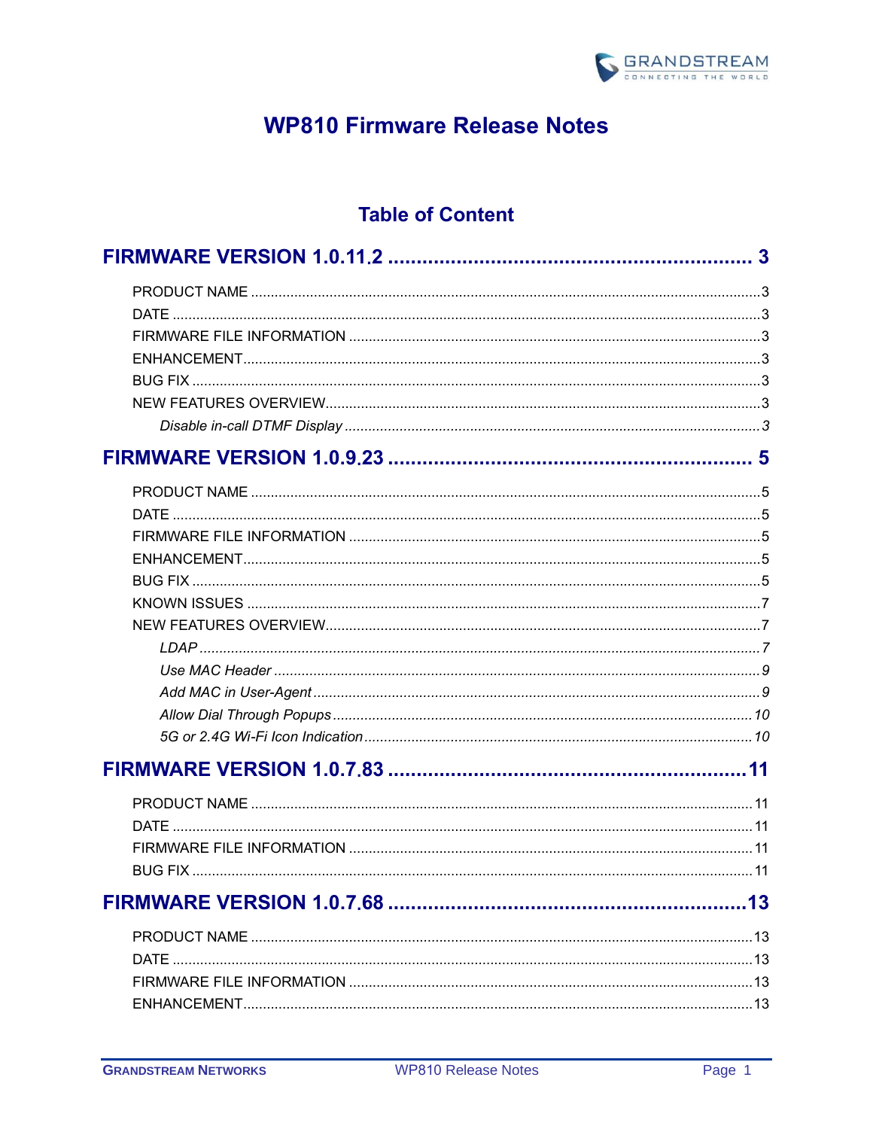

# **WP810 Firmware Release Notes**

# **Table of Content**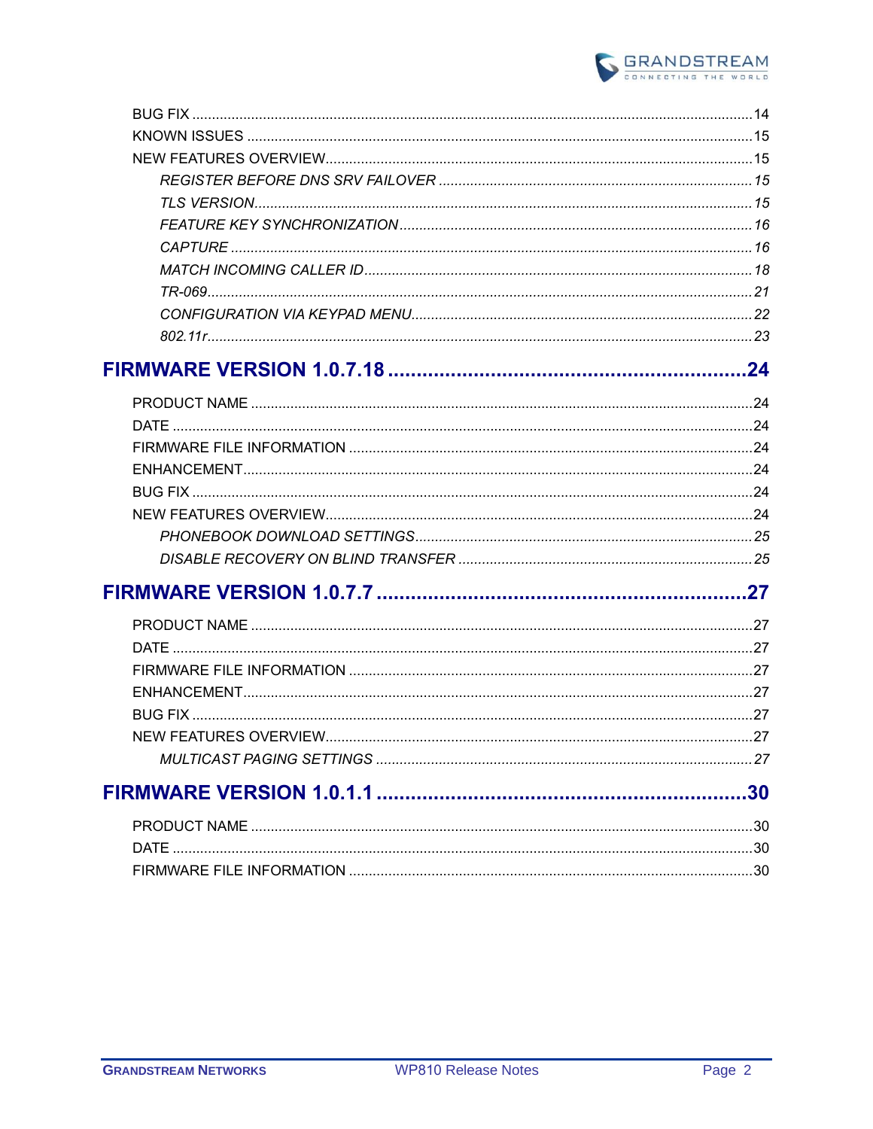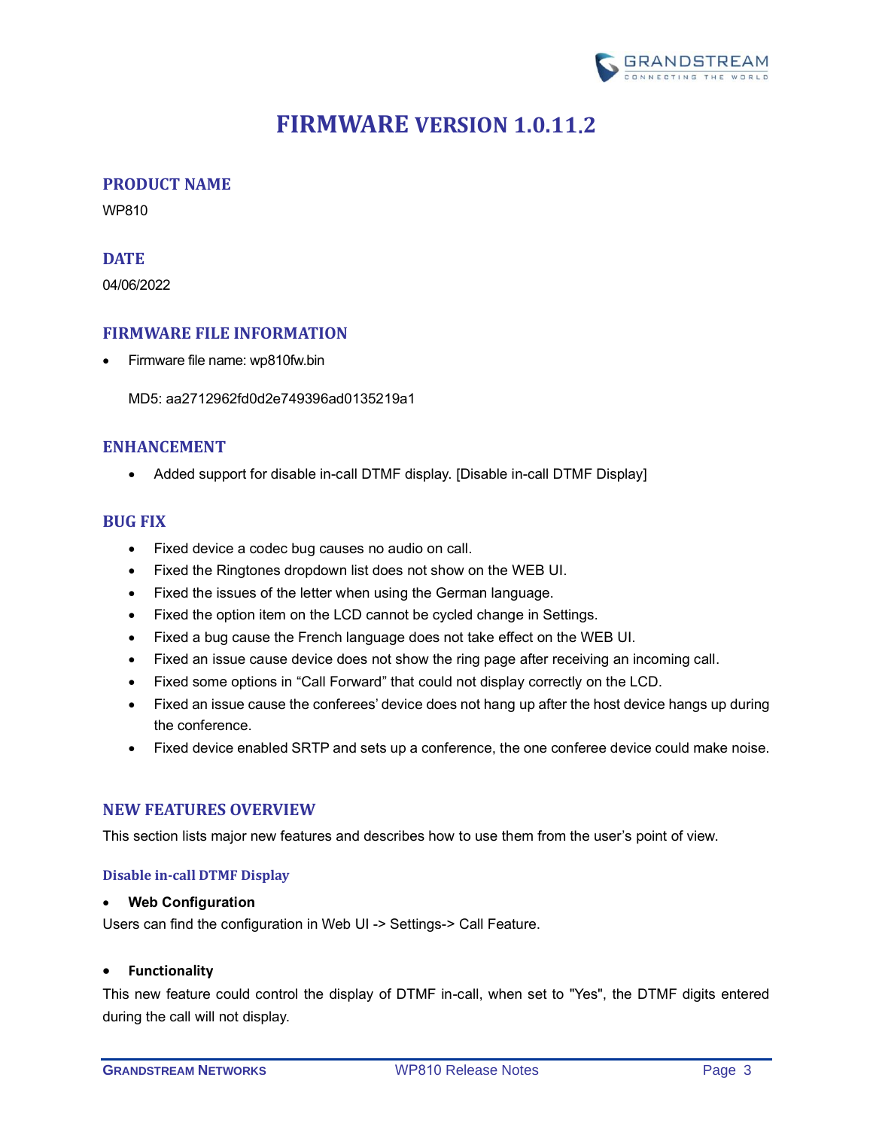

# **FIRMWARE VERSION 1.0.11.2**

#### <span id="page-2-1"></span><span id="page-2-0"></span>**PRODUCT NAME**

WP810

#### <span id="page-2-2"></span>**DATE**

04/06/2022

# <span id="page-2-3"></span>**FIRMWARE FILE INFORMATION**

• Firmware file name: wp810fw.bin

MD5: aa2712962fd0d2e749396ad0135219a1

# <span id="page-2-4"></span>**ENHANCEMENT**

• Added support for disable in-call DTMF display. [\[Disable in-call DTMF Display\]](#page-2-7)

# <span id="page-2-5"></span>**BUG FIX**

- Fixed device a codec bug causes no audio on call.
- Fixed the Ringtones dropdown list does not show on the WEB UI.
- Fixed the issues of the letter when using the German language.
- Fixed the option item on the LCD cannot be cycled change in Settings.
- Fixed a bug cause the French language does not take effect on the WEB UI.
- Fixed an issue cause device does not show the ring page after receiving an incoming call.
- Fixed some options in "Call Forward" that could not display correctly on the LCD.
- Fixed an issue cause the conferees' device does not hang up after the host device hangs up during the conference.
- Fixed device enabled SRTP and sets up a conference, the one conferee device could make noise.

#### <span id="page-2-6"></span>**NEW FEATURES OVERVIEW**

<span id="page-2-7"></span>This section lists major new features and describes how to use them from the user's point of view.

#### **Disable in-call DTMF Display**

#### • **Web Configuration**

Users can find the configuration in Web UI -> Settings-> Call Feature.

#### • **Functionality**

This new feature could control the display of DTMF in-call, when set to "Yes", the DTMF digits entered during the call will not display.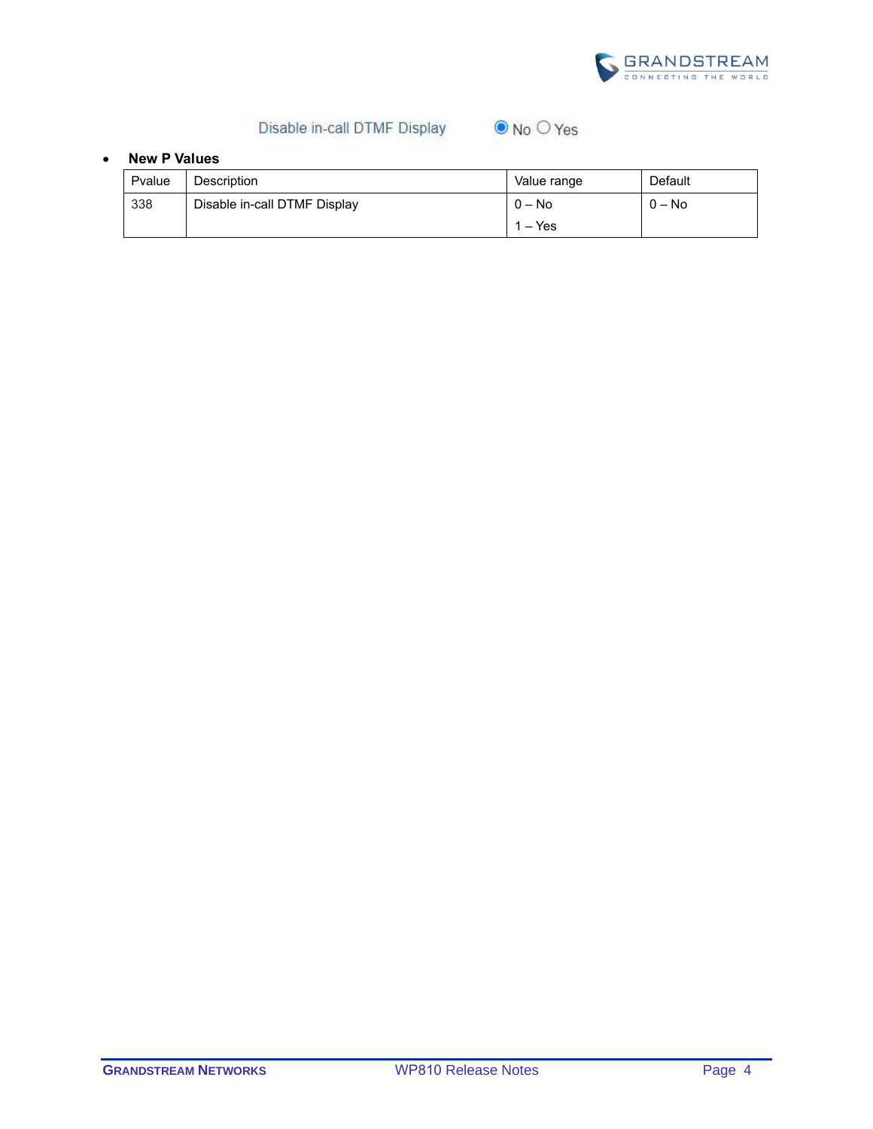

# Disable in-call DTMF Display

| $\odot$ No $\odot$ Yes |  |
|------------------------|--|
|------------------------|--|

| Pvalue | <b>Description</b>           | Value range | Default  |
|--------|------------------------------|-------------|----------|
| 338    | Disable in-call DTMF Display | $0 - No$    | $0 - No$ |
|        |                              | $1 - Yes$   |          |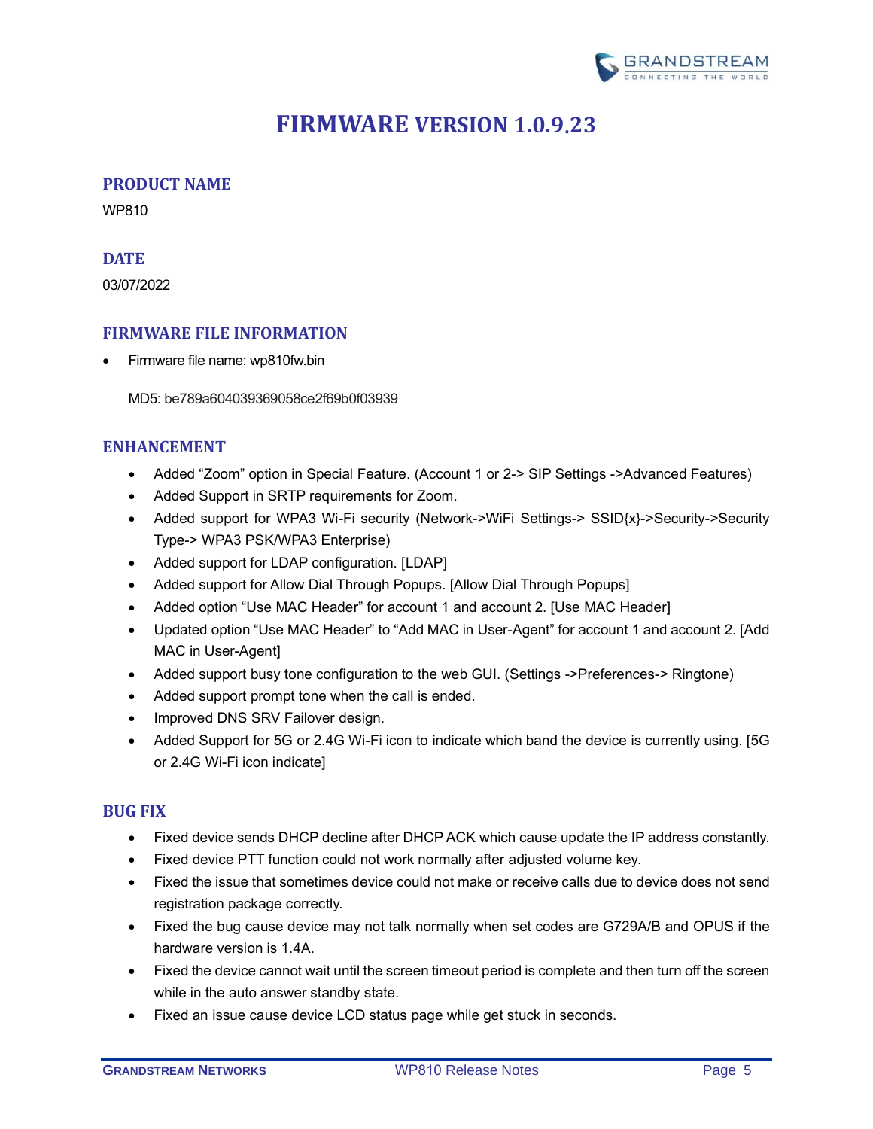

# **FIRMWARE VERSION 1.0.9.23**

# <span id="page-4-1"></span><span id="page-4-0"></span>**PRODUCT NAME**

WP810

#### <span id="page-4-2"></span>**DATE**

03/07/2022

# <span id="page-4-3"></span>**FIRMWARE FILE INFORMATION**

• Firmware file name: wp810fw.bin

MD5: be789a604039369058ce2f69b0f03939

# <span id="page-4-4"></span>**ENHANCEMENT**

- Added "Zoom" option in Special Feature. (Account 1 or 2-> SIP Settings ->Advanced Features)
- Added Support in SRTP requirements for Zoom.
- Added support for WPA3 Wi-Fi security (Network->WiFi Settings-> SSID{x}->Security->Security Type-> WPA3 PSK/WPA3 Enterprise)
- Added support for LDAP configuration. [\[LDAP\]](#page-6-2)
- Added support for Allow Dial Through Popups. [Allow [Dial Through Popups\]](#page-9-0)
- Added option "Use MAC Header" for account 1 and account 2. [\[Use MAC Header\]](#page-8-0)
- Updated option "Use MAC Header" to "Add MAC in User-Agent" for account 1 and account 2. [\[Add](#page-8-1)  [MAC in User-Agent\]](#page-8-1)
- Added support busy tone configuration to the web GUI. (Settings ->Preferences-> Ringtone)
- Added support prompt tone when the call is ended.
- Improved DNS SRV Failover design.
- Added Support for 5G or 2.4G Wi-Fi icon to indicate which band the device is currently using. [5G [or 2.4G Wi-Fi icon indicate\]](#page-9-1)

#### <span id="page-4-5"></span>**BUG FIX**

- Fixed device sends DHCP decline after DHCP ACK which cause update the IP address constantly.
- Fixed device PTT function could not work normally after adjusted volume key.
- Fixed the issue that sometimes device could not make or receive calls due to device does not send registration package correctly.
- Fixed the bug cause device may not talk normally when set codes are G729A/B and OPUS if the hardware version is 1.4A.
- Fixed the device cannot wait until the screen timeout period is complete and then turn off the screen while in the auto answer standby state.
- Fixed an issue cause device LCD status page while get stuck in seconds.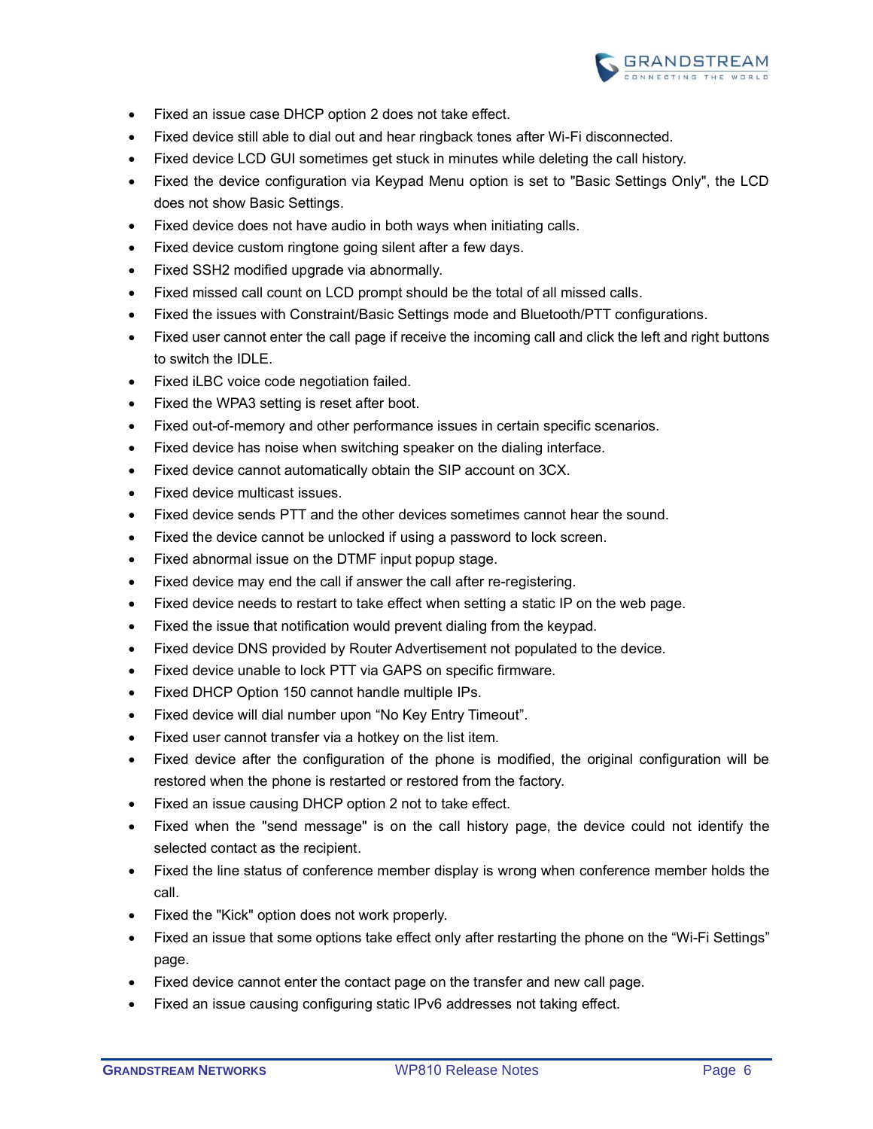

- Fixed an issue case DHCP option 2 does not take effect.
- Fixed device still able to dial out and hear ringback tones after Wi-Fi disconnected.
- Fixed device LCD GUI sometimes get stuck in minutes while deleting the call history.
- Fixed the device configuration via Keypad Menu option is set to "Basic Settings Only", the LCD does not show Basic Settings.
- Fixed device does not have audio in both ways when initiating calls.
- Fixed device custom ringtone going silent after a few days.
- Fixed SSH2 modified upgrade via abnormally.
- Fixed missed call count on LCD prompt should be the total of all missed calls.
- Fixed the issues with Constraint/Basic Settings mode and Bluetooth/PTT configurations.
- Fixed user cannot enter the call page if receive the incoming call and click the left and right buttons to switch the IDLE.
- Fixed iLBC voice code negotiation failed.
- Fixed the WPA3 setting is reset after boot.
- Fixed out-of-memory and other performance issues in certain specific scenarios.
- Fixed device has noise when switching speaker on the dialing interface.
- Fixed device cannot automatically obtain the SIP account on 3CX.
- Fixed device multicast issues.
- Fixed device sends PTT and the other devices sometimes cannot hear the sound.
- Fixed the device cannot be unlocked if using a password to lock screen.
- Fixed abnormal issue on the DTMF input popup stage.
- Fixed device may end the call if answer the call after re-registering.
- Fixed device needs to restart to take effect when setting a static IP on the web page.
- Fixed the issue that notification would prevent dialing from the keypad.
- Fixed device DNS provided by Router Advertisement not populated to the device.
- Fixed device unable to lock PTT via GAPS on specific firmware.
- Fixed DHCP Option 150 cannot handle multiple IPs.
- Fixed device will dial number upon "No Key Entry Timeout".
- Fixed user cannot transfer via a hotkey on the list item.
- Fixed device after the configuration of the phone is modified, the original configuration will be restored when the phone is restarted or restored from the factory.
- Fixed an issue causing DHCP option 2 not to take effect.
- Fixed when the "send message" is on the call history page, the device could not identify the selected contact as the recipient.
- Fixed the line status of conference member display is wrong when conference member holds the call.
- Fixed the "Kick" option does not work properly.
- Fixed an issue that some options take effect only after restarting the phone on the "Wi-Fi Settings" page.
- Fixed device cannot enter the contact page on the transfer and new call page.
- Fixed an issue causing configuring static IPv6 addresses not taking effect.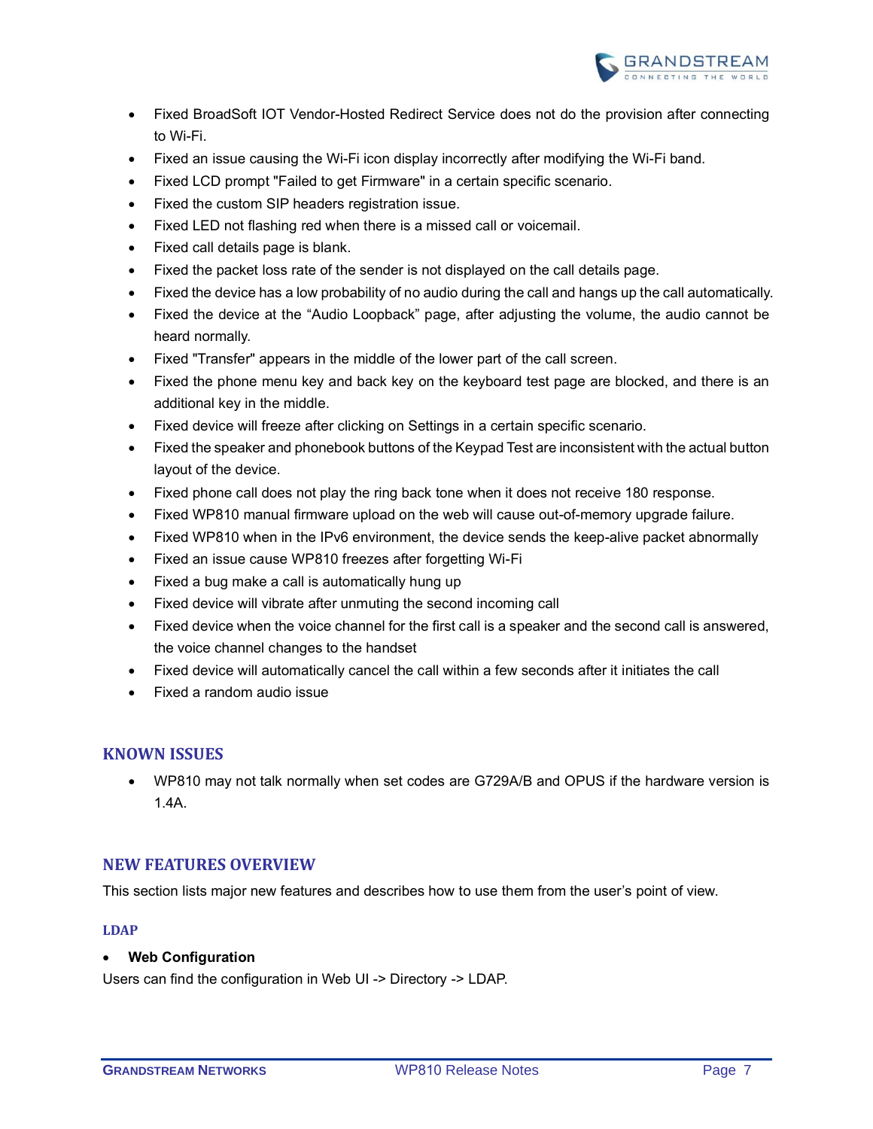

- Fixed BroadSoft IOT Vendor-Hosted Redirect Service does not do the provision after connecting to Wi-Fi.
- Fixed an issue causing the Wi-Fi icon display incorrectly after modifying the Wi-Fi band.
- Fixed LCD prompt "Failed to get Firmware" in a certain specific scenario.
- Fixed the custom SIP headers registration issue.
- Fixed LED not flashing red when there is a missed call or voicemail.
- Fixed call details page is blank.
- Fixed the packet loss rate of the sender is not displayed on the call details page.
- Fixed the device has a low probability of no audio during the call and hangs up the call automatically.
- Fixed the device at the "Audio Loopback" page, after adjusting the volume, the audio cannot be heard normally.
- Fixed "Transfer" appears in the middle of the lower part of the call screen.
- Fixed the phone menu key and back key on the keyboard test page are blocked, and there is an additional key in the middle.
- Fixed device will freeze after clicking on Settings in a certain specific scenario.
- Fixed the speaker and phonebook buttons of the Keypad Test are inconsistent with the actual button layout of the device.
- Fixed phone call does not play the ring back tone when it does not receive 180 response.
- Fixed WP810 manual firmware upload on the web will cause out-of-memory upgrade failure.
- Fixed WP810 when in the IPv6 environment, the device sends the keep-alive packet abnormally
- Fixed an issue cause WP810 freezes after forgetting Wi-Fi
- Fixed a bug make a call is automatically hung up
- Fixed device will vibrate after unmuting the second incoming call
- Fixed device when the voice channel for the first call is a speaker and the second call is answered, the voice channel changes to the handset
- Fixed device will automatically cancel the call within a few seconds after it initiates the call
- Fixed a random audio issue

# <span id="page-6-0"></span>**KNOWN ISSUES**

• WP810 may not talk normally when set codes are G729A/B and OPUS if the hardware version is 1.4A.

# <span id="page-6-1"></span>**NEW FEATURES OVERVIEW**

<span id="page-6-2"></span>This section lists major new features and describes how to use them from the user's point of view.

#### **LDAP**

#### • **Web Configuration**

Users can find the configuration in Web UI -> Directory -> LDAP.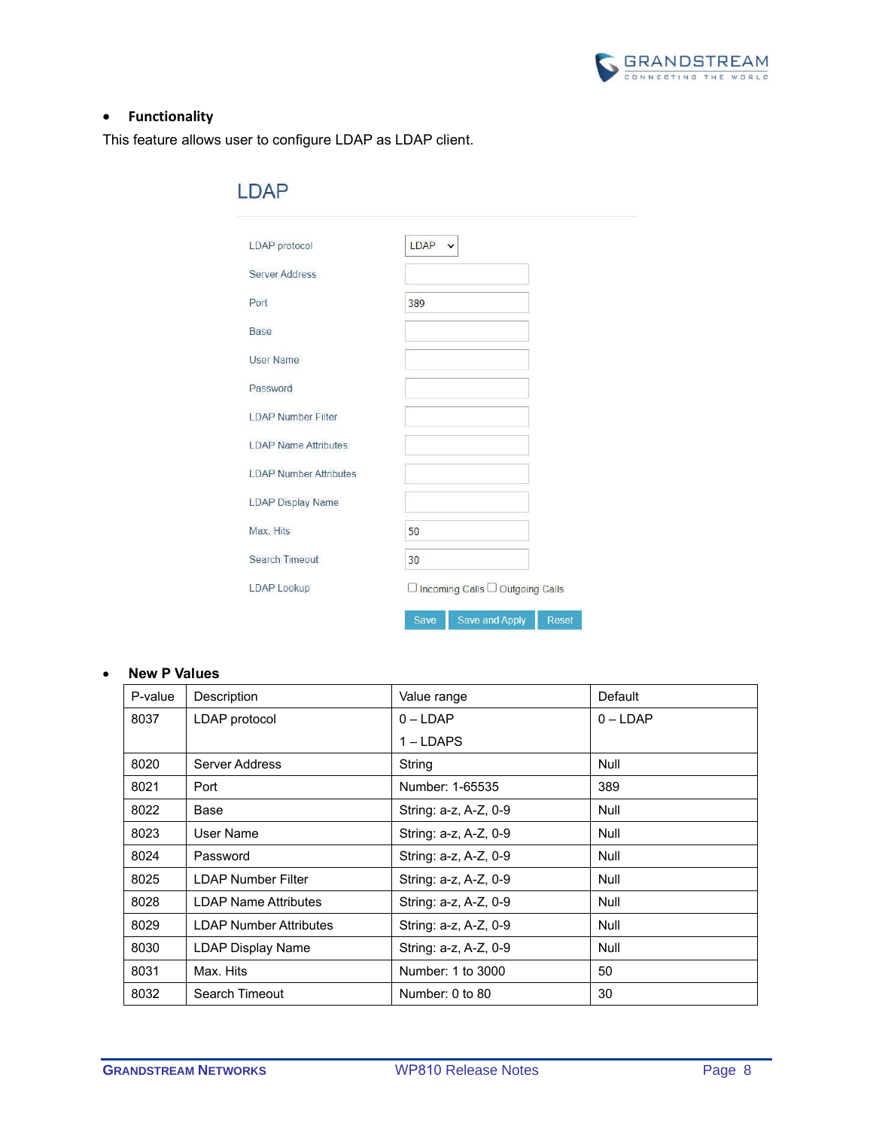

# • **Functionality**

This feature allows user to configure LDAP as LDAP client.

| LDAP protocol                 | $LDAP \sim$ |                                   |              |
|-------------------------------|-------------|-----------------------------------|--------------|
| <b>Server Address</b>         |             |                                   |              |
| Port                          | 389         |                                   |              |
| <b>Base</b>                   |             |                                   |              |
| <b>User Name</b>              |             |                                   |              |
| Password                      |             |                                   |              |
| <b>LDAP Number Filter</b>     |             |                                   |              |
| <b>LDAP Name Attributes</b>   |             |                                   |              |
| <b>LDAP Number Attributes</b> |             |                                   |              |
| <b>LDAP Display Name</b>      |             |                                   |              |
| Max. Hits                     | 50          |                                   |              |
| <b>Search Timeout</b>         | 30          |                                   |              |
| <b>LDAP Lookup</b>            |             | □ Incoming Calls □ Outgoing Calls |              |
|                               | Save        | Save and Apply                    | <b>Reset</b> |

| P-value | Description                   | Value range           | Default     |
|---------|-------------------------------|-----------------------|-------------|
| 8037    | LDAP protocol                 | $0 - LDAP$            | $0 - LDAP$  |
|         |                               | $1 -$ LDAPS           |             |
| 8020    | Server Address                | String                | <b>Null</b> |
| 8021    | Port                          | Number: 1-65535       | 389         |
| 8022    | Base                          | String: a-z, A-Z, 0-9 | <b>Null</b> |
| 8023    | User Name                     | String: a-z, A-Z, 0-9 | <b>Null</b> |
| 8024    | Password                      | String: a-z, A-Z, 0-9 | Null        |
| 8025    | LDAP Number Filter            | String: a-z, A-Z, 0-9 | <b>Null</b> |
| 8028    | LDAP Name Attributes          | String: a-z, A-Z, 0-9 | <b>Null</b> |
| 8029    | <b>LDAP Number Attributes</b> | String: a-z, A-Z, 0-9 | Null        |
| 8030    | LDAP Display Name             | String: a-z, A-Z, 0-9 | <b>Null</b> |
| 8031    | Max. Hits                     | Number: 1 to 3000     | 50          |
| 8032    | Search Timeout                | Number: 0 to 80       | 30          |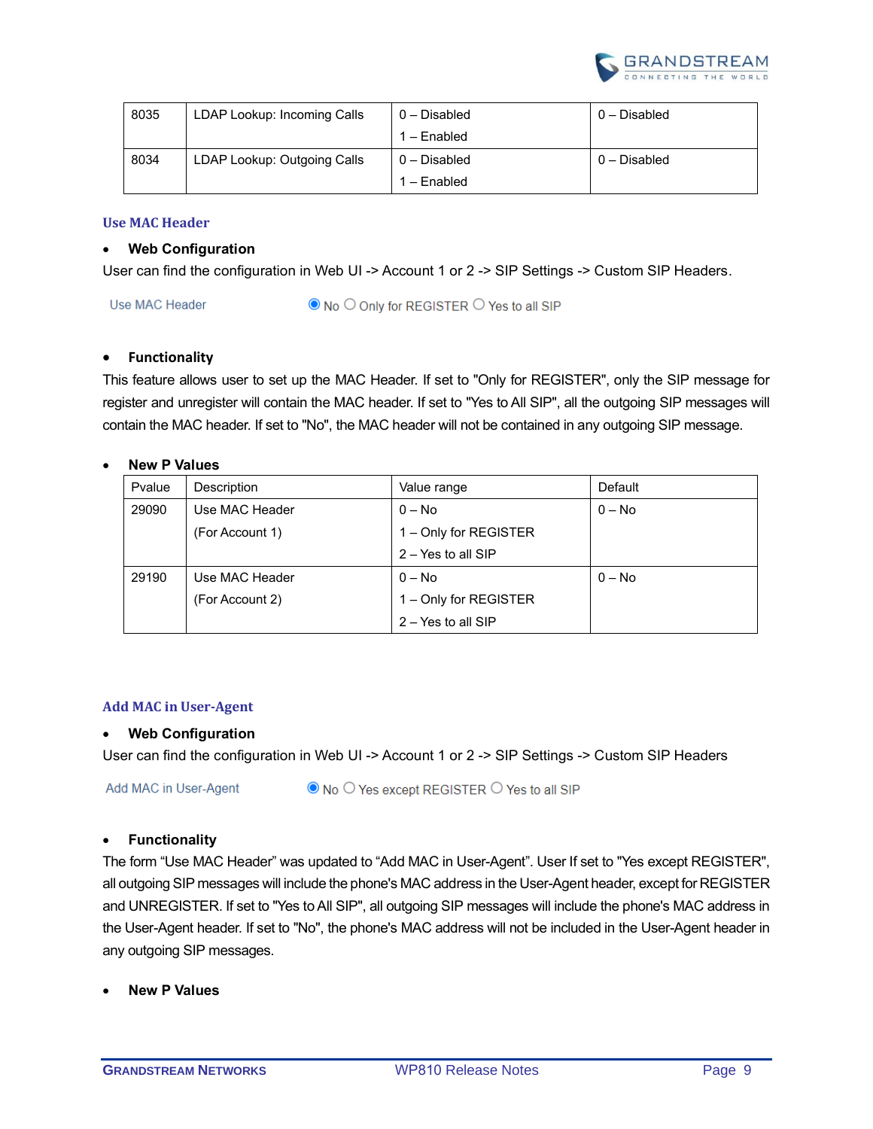

| 8035 | LDAP Lookup: Incoming Calls | $0 -$ Disabled | $0$ – Disabled |
|------|-----------------------------|----------------|----------------|
|      |                             | 1 – Enabled    |                |
| 8034 | LDAP Lookup: Outgoing Calls | $0 -$ Disabled | $0$ – Disabled |
|      |                             | 1 - Enabled    |                |

#### <span id="page-8-0"></span>**Use MAC Header**

#### • **Web Configuration**

User can find the configuration in Web UI -> Account 1 or 2 -> SIP Settings -> Custom SIP Headers.

Use MAC Header ● No ○ Only for REGISTER ○ Yes to all SIP

#### • **Functionality**

This feature allows user to set up the MAC Header. If set to "Only for REGISTER", only the SIP message for register and unregister will contain the MAC header. If set to "Yes to All SIP", all the outgoing SIP messages will contain the MAC header. If set to "No", the MAC header will not be contained in any outgoing SIP message.

#### • **New P Values**

| Pvalue | Description     | Value range           | Default  |
|--------|-----------------|-----------------------|----------|
| 29090  | Use MAC Header  | $0 - No$              | $0 - No$ |
|        | (For Account 1) | 1 - Only for REGISTER |          |
|        |                 | $2 - Yes$ to all SIP  |          |
| 29190  | Use MAC Header  | $0 - No$              | $0 - No$ |
|        | (For Account 2) | 1 - Only for REGISTER |          |
|        |                 | $2 - Yes$ to all SIP  |          |

#### <span id="page-8-1"></span>**Add MAC in User-Agent**

#### • **Web Configuration**

User can find the configuration in Web UI -> Account 1 or 2 -> SIP Settings -> Custom SIP Headers

Add MAC in User-Agent

◎ No ○ Yes except REGISTER ○ Yes to all SIP

#### • **Functionality**

The form "Use MAC Header" was updated to "Add MAC in User-Agent". User If set to "Yes except REGISTER", all outgoing SIP messages will include the phone's MAC address in the User-Agent header, except for REGISTER and UNREGISTER. If set to "Yes to All SIP", all outgoing SIP messages will include the phone's MAC address in the User-Agent header. If set to "No", the phone's MAC address will not be included in the User-Agent header in any outgoing SIP messages.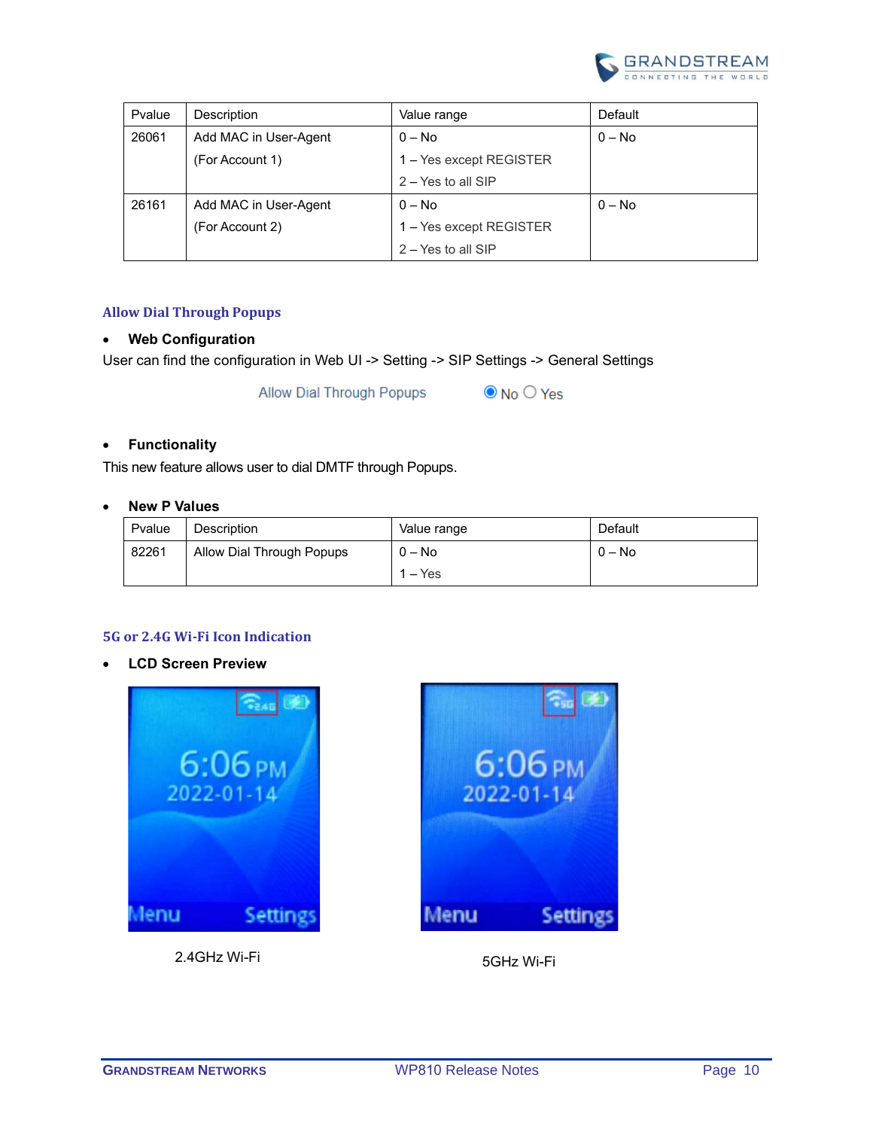

| Pvalue | Description           | Value range             | Default  |
|--------|-----------------------|-------------------------|----------|
| 26061  | Add MAC in User-Agent | $0 - No$                | $0 - No$ |
|        | (For Account 1)       | 1 – Yes except REGISTER |          |
|        |                       | $2 - Yes$ to all SIP    |          |
| 26161  | Add MAC in User-Agent | $0 - No$                | $0 - No$ |
|        | (For Account 2)       | 1 – Yes except REGISTER |          |
|        |                       | $2 - Yes$ to all SIP    |          |

#### <span id="page-9-0"></span>**Allow Dial Through Popups**

# • **Web Configuration**

User can find the configuration in Web UI -> Setting -> SIP Settings -> General Settings

**Allow Dial Through Popups** 

#### $\odot$  No  $\odot$  Yes

#### • **Functionality**

This new feature allows user to dial DMTF through Popups.

#### • **New P Values**

| Pvalue | Description               | Value range | Default  |
|--------|---------------------------|-------------|----------|
| 82261  | Allow Dial Through Popups | $0 - No$    | $0 - No$ |
|        |                           | $1 - Yes$   |          |

#### <span id="page-9-1"></span>**5G or 2.4G Wi-Fi Icon Indication**

• **LCD Screen Preview**



2.4GHz Wi-Fi 5GHz Wi-Fi

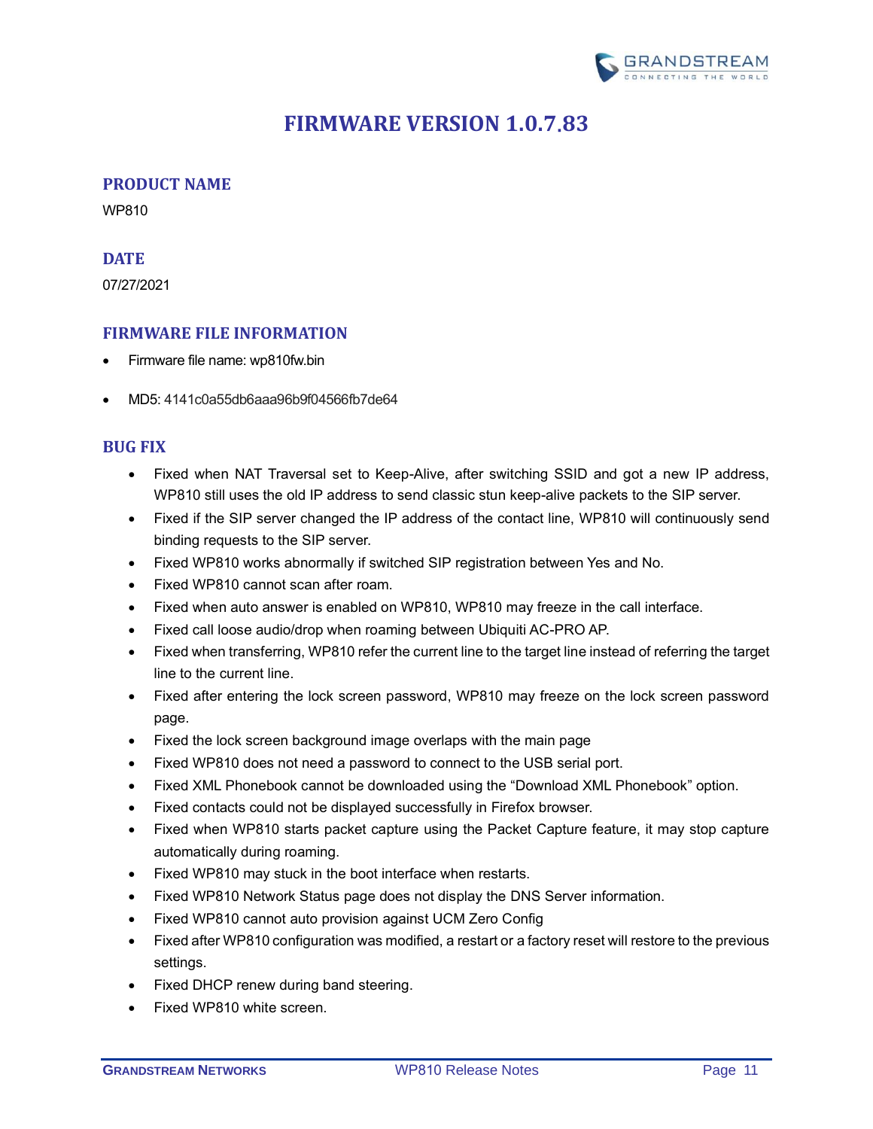

# **FIRMWARE VERSION 1.0.7.83**

# <span id="page-10-1"></span><span id="page-10-0"></span>**PRODUCT NAME**

WP810

# <span id="page-10-2"></span>**DATE**

07/27/2021

# <span id="page-10-3"></span>**FIRMWARE FILE INFORMATION**

- Firmware file name: wp810fw.bin
- MD5: 4141c0a55db6aaa96b9f04566fb7de64

# <span id="page-10-4"></span>**BUG FIX**

- Fixed when NAT Traversal set to Keep-Alive, after switching SSID and got a new IP address, WP810 still uses the old IP address to send classic stun keep-alive packets to the SIP server.
- Fixed if the SIP server changed the IP address of the contact line, WP810 will continuously send binding requests to the SIP server.
- Fixed WP810 works abnormally if switched SIP registration between Yes and No.
- Fixed WP810 cannot scan after roam.
- Fixed when auto answer is enabled on WP810, WP810 may freeze in the call interface.
- Fixed call loose audio/drop when roaming between Ubiquiti AC-PRO AP.
- Fixed when transferring, WP810 refer the current line to the target line instead of referring the target line to the current line.
- Fixed after entering the lock screen password, WP810 may freeze on the lock screen password page.
- Fixed the lock screen background image overlaps with the main page
- Fixed WP810 does not need a password to connect to the USB serial port.
- Fixed XML Phonebook cannot be downloaded using the "Download XML Phonebook" option.
- Fixed contacts could not be displayed successfully in Firefox browser.
- Fixed when WP810 starts packet capture using the Packet Capture feature, it may stop capture automatically during roaming.
- Fixed WP810 may stuck in the boot interface when restarts.
- Fixed WP810 Network Status page does not display the DNS Server information.
- Fixed WP810 cannot auto provision against UCM Zero Config
- Fixed after WP810 configuration was modified, a restart or a factory reset will restore to the previous settings.
- Fixed DHCP renew during band steering.
- Fixed WP810 white screen.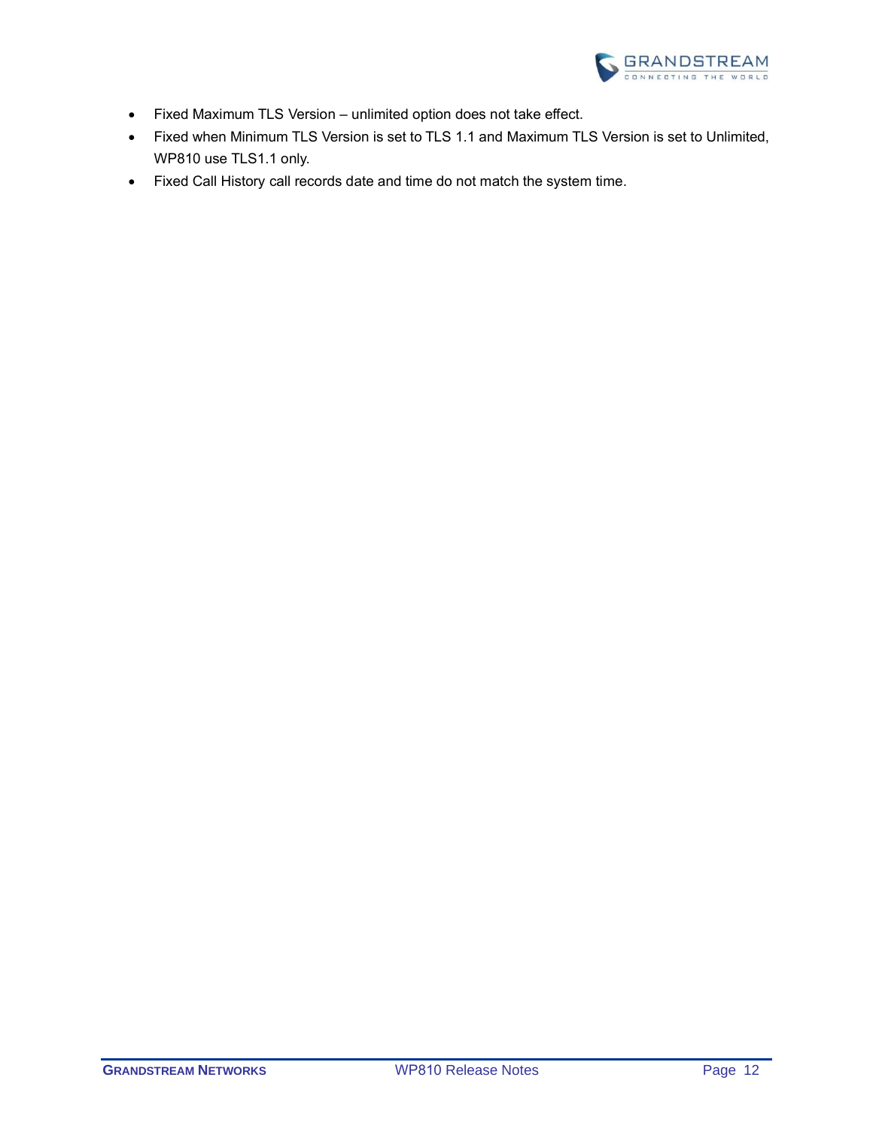

- Fixed Maximum TLS Version unlimited option does not take effect.
- Fixed when Minimum TLS Version is set to TLS 1.1 and Maximum TLS Version is set to Unlimited, WP810 use TLS1.1 only.
- Fixed Call History call records date and time do not match the system time.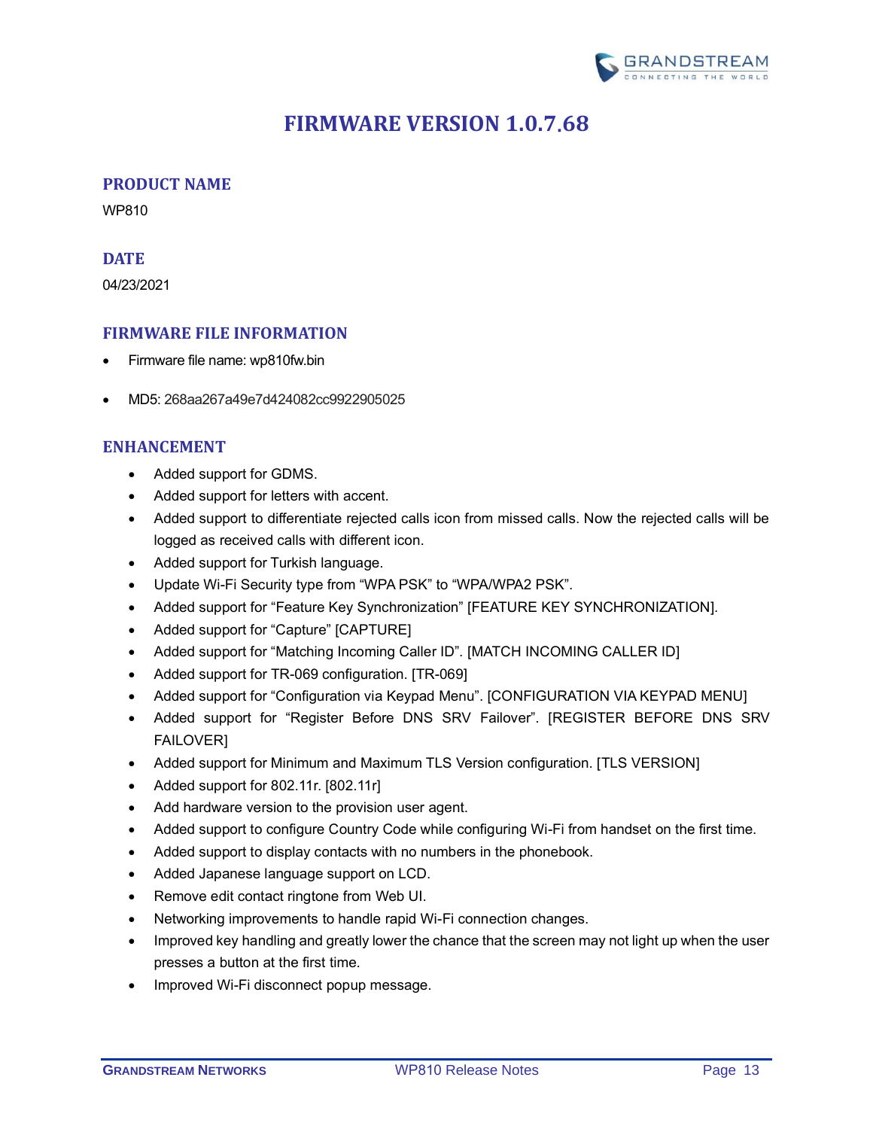

# **FIRMWARE VERSION 1.0.7.68**

# <span id="page-12-1"></span><span id="page-12-0"></span>**PRODUCT NAME**

WP810

#### <span id="page-12-2"></span>**DATE**

04/23/2021

# <span id="page-12-3"></span>**FIRMWARE FILE INFORMATION**

- Firmware file name: wp810fw.bin
- MD5: 268aa267a49e7d424082cc9922905025

# <span id="page-12-4"></span>**ENHANCEMENT**

- Added support for GDMS.
- Added support for letters with accent.
- Added support to differentiate rejected calls icon from missed calls. Now the rejected calls will be logged as received calls with different icon.
- Added support for Turkish language.
- Update Wi-Fi Security type from "WPA PSK" to "WPA/WPA2 PSK".
- Added support for "Feature Key Synchronization" [\[FEATURE KEY SYNCHRONIZATION\]](#page-15-0).
- Added support for "Capture" [\[CAPTURE\]](#page-15-1)
- Added support for "Matching Incoming Caller ID". [\[MATCH INCOMING CALLER ID\]](#page-17-0)
- Added support for TR-069 configuration. [\[TR-069\]](#page-20-0)
- Added support for "Configuration via Keypad Menu". [\[CONFIGURATION VIA KEYPAD MENU\]](#page-21-0)
- Added support for "Register Before DNS SRV Failover". [\[REGISTER BEFORE DNS SRV](#page-14-2)  [FAILOVER\]](#page-14-2)
- Added support for Minimum and Maximum TLS Version configuration. [\[TLS VERSION\]](#page-14-3)
- Added support for 802.11r. [\[802.11r\]](#page-22-0)
- Add hardware version to the provision user agent.
- Added support to configure Country Code while configuring Wi-Fi from handset on the first time.
- Added support to display contacts with no numbers in the phonebook.
- Added Japanese language support on LCD.
- Remove edit contact ringtone from Web UI.
- Networking improvements to handle rapid Wi-Fi connection changes.
- Improved key handling and greatly lower the chance that the screen may not light up when the user presses a button at the first time.
- Improved Wi-Fi disconnect popup message.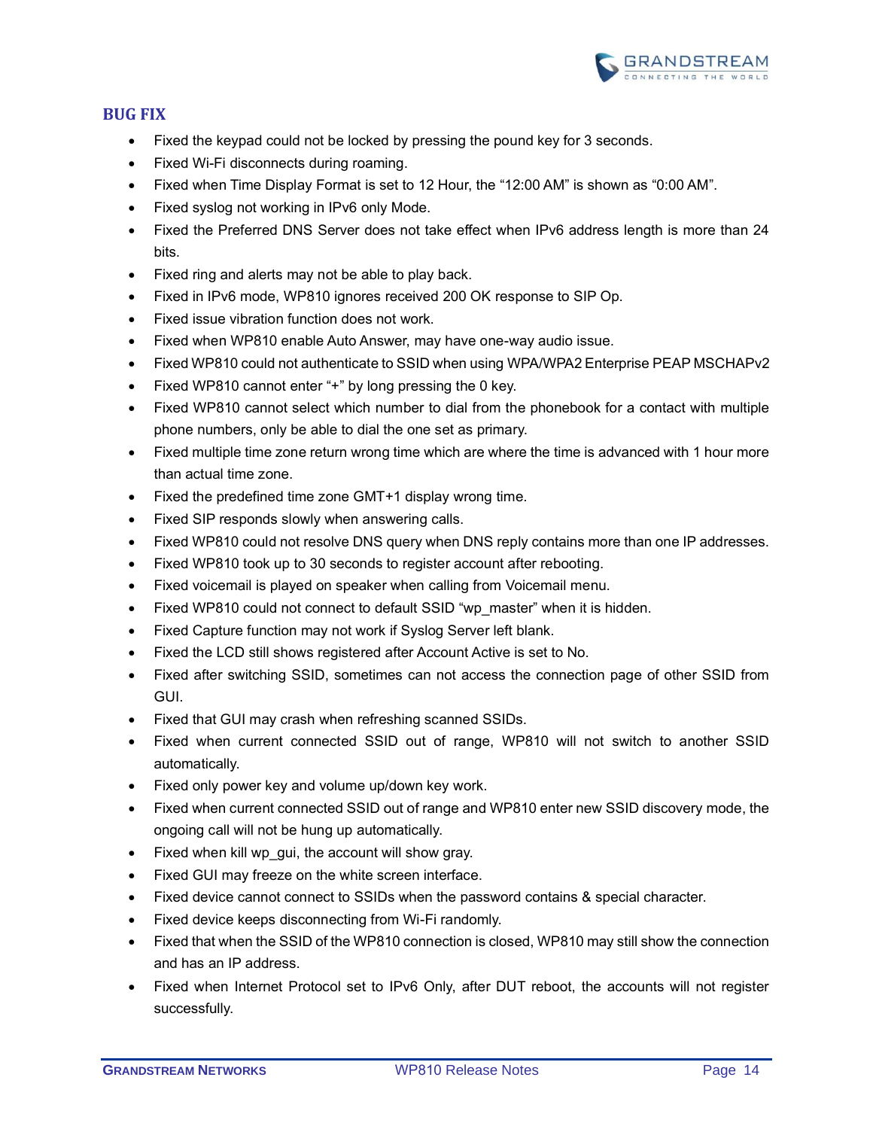

# <span id="page-13-0"></span>**BUG FIX**

- Fixed the keypad could not be locked by pressing the pound key for 3 seconds.
- Fixed Wi-Fi disconnects during roaming.
- Fixed when Time Display Format is set to 12 Hour, the "12:00 AM" is shown as "0:00 AM".
- Fixed syslog not working in IPv6 only Mode.
- Fixed the Preferred DNS Server does not take effect when IPv6 address length is more than 24 bits.
- Fixed ring and alerts may not be able to play back.
- Fixed in IPv6 mode, WP810 ignores received 200 OK response to SIP Op.
- Fixed issue vibration function does not work.
- Fixed when WP810 enable Auto Answer, may have one-way audio issue.
- Fixed WP810 could not authenticate to SSID when using WPA/WPA2 Enterprise PEAP MSCHAPv2
- Fixed WP810 cannot enter "+" by long pressing the 0 key.
- Fixed WP810 cannot select which number to dial from the phonebook for a contact with multiple phone numbers, only be able to dial the one set as primary.
- Fixed multiple time zone return wrong time which are where the time is advanced with 1 hour more than actual time zone.
- Fixed the predefined time zone GMT+1 display wrong time.
- Fixed SIP responds slowly when answering calls.
- Fixed WP810 could not resolve DNS query when DNS reply contains more than one IP addresses.
- Fixed WP810 took up to 30 seconds to register account after rebooting.
- Fixed voicemail is played on speaker when calling from Voicemail menu.
- Fixed WP810 could not connect to default SSID "wp\_master" when it is hidden.
- Fixed Capture function may not work if Syslog Server left blank.
- Fixed the LCD still shows registered after Account Active is set to No.
- Fixed after switching SSID, sometimes can not access the connection page of other SSID from GUI.
- Fixed that GUI may crash when refreshing scanned SSIDs.
- Fixed when current connected SSID out of range, WP810 will not switch to another SSID automatically.
- Fixed only power key and volume up/down key work.
- Fixed when current connected SSID out of range and WP810 enter new SSID discovery mode, the ongoing call will not be hung up automatically.
- Fixed when kill wp\_gui, the account will show gray.
- Fixed GUI may freeze on the white screen interface.
- Fixed device cannot connect to SSIDs when the password contains & special character.
- Fixed device keeps disconnecting from Wi-Fi randomly.
- Fixed that when the SSID of the WP810 connection is closed, WP810 may still show the connection and has an IP address.
- Fixed when Internet Protocol set to IPv6 Only, after DUT reboot, the accounts will not register successfully.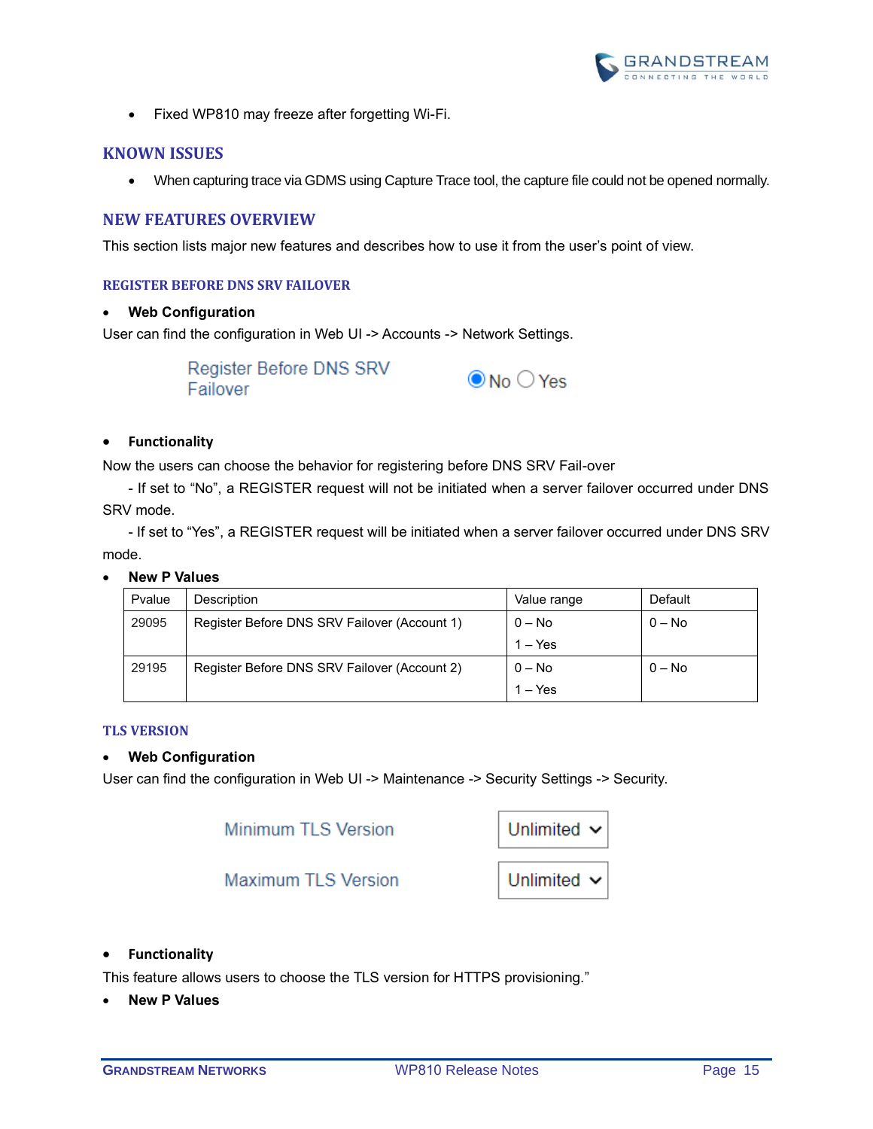

• Fixed WP810 may freeze after forgetting Wi-Fi.

#### <span id="page-14-0"></span>**KNOWN ISSUES**

• When capturing trace via GDMS using Capture Trace tool, the capture file could not be opened normally.

#### <span id="page-14-1"></span>**NEW FEATURES OVERVIEW**

<span id="page-14-2"></span>This section lists major new features and describes how to use it from the user's point of view.

#### **REGISTER BEFORE DNS SRV FAILOVER**

#### • **Web Configuration**

User can find the configuration in Web UI -> Accounts -> Network Settings.



#### • **Functionality**

Now the users can choose the behavior for registering before DNS SRV Fail-over

- If set to "No", a REGISTER request will not be initiated when a server failover occurred under DNS SRV mode.

- If set to "Yes", a REGISTER request will be initiated when a server failover occurred under DNS SRV mode.

#### • **New P Values**

| Pvalue | Description                                  | Value range | Default  |
|--------|----------------------------------------------|-------------|----------|
| 29095  | Register Before DNS SRV Failover (Account 1) | $0 - No$    | $0 - No$ |
|        |                                              | $1 - Yes$   |          |
| 29195  | Register Before DNS SRV Failover (Account 2) | $0 - No$    | $0 - No$ |
|        |                                              | $1 - Yes$   |          |

#### <span id="page-14-3"></span>**TLS VERSION**

#### • **Web Configuration**

User can find the configuration in Web UI -> Maintenance -> Security Settings -> Security.

**Minimum TLS Version** 

| Unlimited $\sim$ |  |
|------------------|--|
|------------------|--|

**Maximum TLS Version** 



#### • **Functionality**

This feature allows users to choose the TLS version for HTTPS provisioning."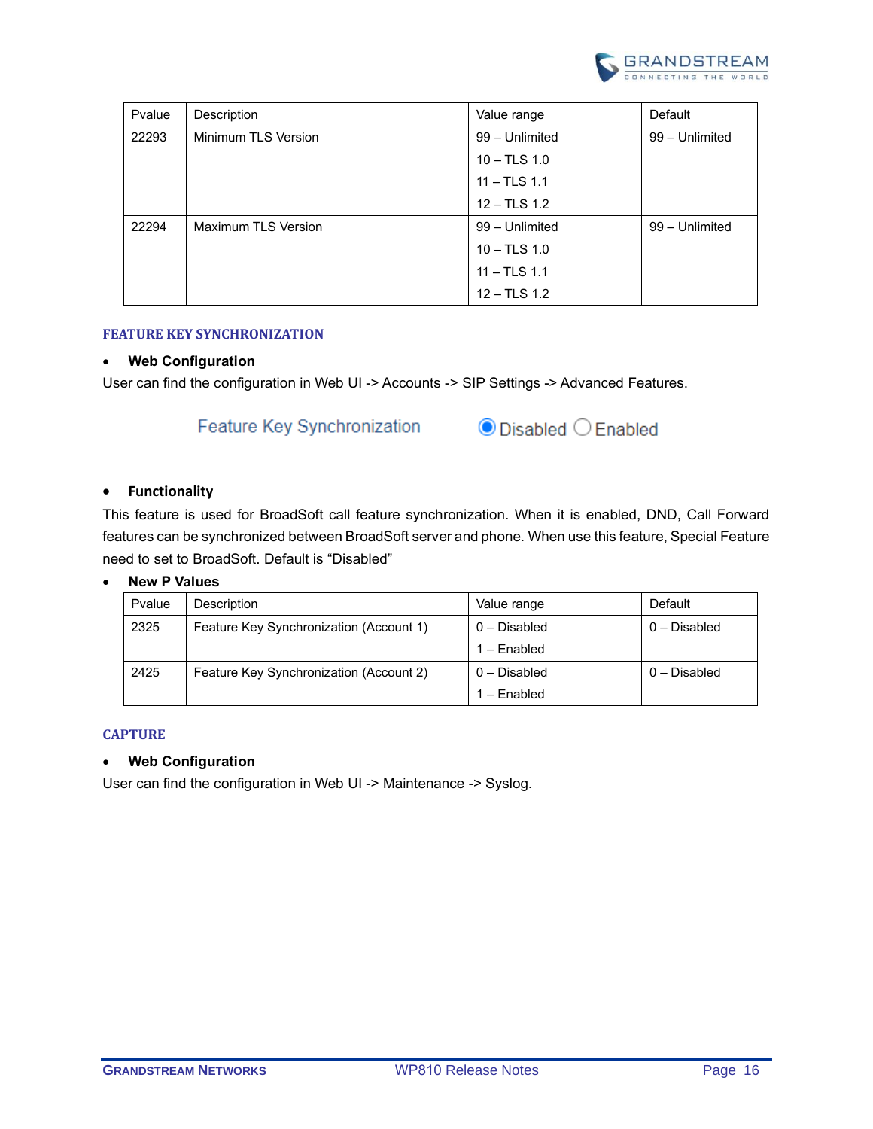

| Pvalue | Description         | Value range    | Default        |
|--------|---------------------|----------------|----------------|
| 22293  | Minimum TLS Version | 99 - Unlimited | 99 - Unlimited |
|        |                     | $10 - TLS 1.0$ |                |
|        |                     | $11 - TLS$ 1.1 |                |
|        |                     | $12 - TLS 1.2$ |                |
| 22294  | Maximum TLS Version | 99 - Unlimited | 99 - Unlimited |
|        |                     | $10 - TLS 1.0$ |                |
|        |                     | $11 - TLS$ 1.1 |                |
|        |                     | $12 - TLS 1.2$ |                |

#### <span id="page-15-0"></span>**FEATURE KEY SYNCHRONIZATION**

#### • **Web Configuration**

User can find the configuration in Web UI -> Accounts -> SIP Settings -> Advanced Features.

# **Feature Key Synchronization**



#### • **Functionality**

This feature is used for BroadSoft call feature synchronization. When it is enabled, DND, Call Forward features can be synchronized between BroadSoft server and phone. When use this feature, Special Feature need to set to BroadSoft. Default is "Disabled"

#### • **New P Values**

| Pvalue | Description                             | Value range    | Default        |
|--------|-----------------------------------------|----------------|----------------|
| 2325   | Feature Key Synchronization (Account 1) | 0 - Disabled   | $0 -$ Disabled |
|        |                                         | $1 -$ Enabled  |                |
| 2425   | Feature Key Synchronization (Account 2) | $0 -$ Disabled | $0 - Disabled$ |
|        |                                         | 1 – Fnabled    |                |

#### <span id="page-15-1"></span>**CAPTURE**

#### • **Web Configuration**

User can find the configuration in Web UI -> Maintenance -> Syslog.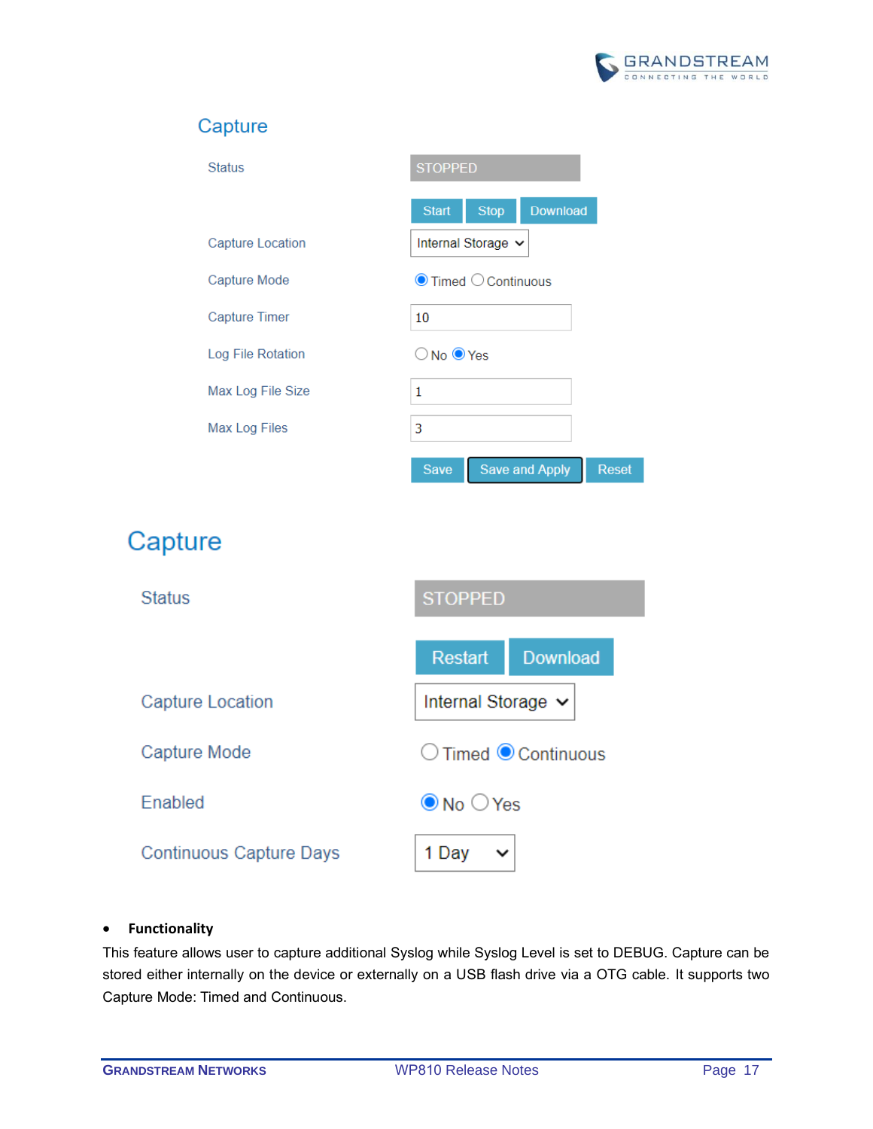

# Capture

| <b>Status</b>        | <b>STOPPED</b>                                       |  |
|----------------------|------------------------------------------------------|--|
|                      | Download<br><b>Start</b><br><b>Stop</b>              |  |
| Capture Location     | Internal Storage $\sim$                              |  |
| Capture Mode         | $\bullet$ Timed $\circlearrowright$ Continuous       |  |
| <b>Capture Timer</b> | 10                                                   |  |
| Log File Rotation    | $\bigcirc$ No $\bigcirc$ Yes                         |  |
| Max Log File Size    | 1                                                    |  |
| Max Log Files        | 3                                                    |  |
|                      | <b>Save and Apply</b><br><b>Save</b><br><b>Reset</b> |  |

# Capture



# • **Functionality**

This feature allows user to capture additional Syslog while Syslog Level is set to DEBUG. Capture can be stored either internally on the device or externally on a USB flash drive via a OTG cable. It supports two Capture Mode: Timed and Continuous.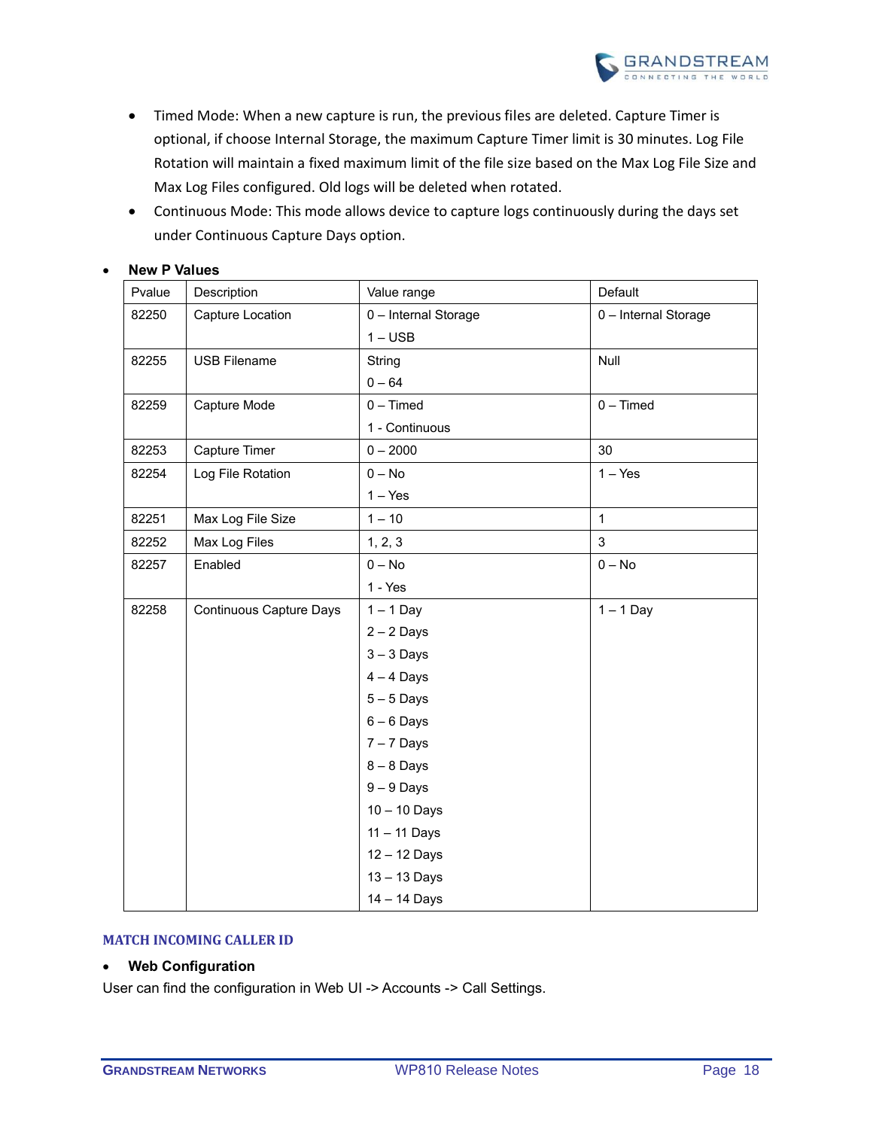

- Timed Mode: When a new capture is run, the previous files are deleted. Capture Timer is optional, if choose Internal Storage, the maximum Capture Timer limit is 30 minutes. Log File Rotation will maintain a fixed maximum limit of the file size based on the Max Log File Size and Max Log Files configured. Old logs will be deleted when rotated.
- Continuous Mode: This mode allows device to capture logs continuously during the days set under Continuous Capture Days option.

| Pvalue | Description                    | Value range          | Default              |
|--------|--------------------------------|----------------------|----------------------|
| 82250  | Capture Location               | 0 - Internal Storage | 0 - Internal Storage |
|        |                                | $1 - USB$            |                      |
| 82255  | <b>USB Filename</b>            | String               | Null                 |
|        |                                | $0 - 64$             |                      |
| 82259  | Capture Mode                   | $0 - Timed$          | $0 - Timed$          |
|        |                                | 1 - Continuous       |                      |
| 82253  | Capture Timer                  | $0 - 2000$           | 30                   |
| 82254  | Log File Rotation              | $0 - No$             | $1 - Yes$            |
|        |                                | $1 - Yes$            |                      |
| 82251  | Max Log File Size              | $1 - 10$             | $\mathbf{1}$         |
| 82252  | Max Log Files                  | 1, 2, 3              | 3                    |
| 82257  | Enabled                        | $0 - No$             | $0 - No$             |
|        |                                | 1 - Yes              |                      |
| 82258  | <b>Continuous Capture Days</b> | $1 - 1$ Day          | $1 - 1$ Day          |
|        |                                | $2 - 2$ Days         |                      |
|        |                                | $3 - 3$ Days         |                      |
|        |                                | $4 - 4$ Days         |                      |
|        |                                | $5 - 5$ Days         |                      |
|        |                                | $6 - 6$ Days         |                      |
|        |                                | $7 - 7$ Days         |                      |
|        |                                | $8 - 8$ Days         |                      |
|        |                                | $9 - 9$ Days         |                      |
|        |                                | $10 - 10$ Days       |                      |
|        |                                | $11 - 11$ Days       |                      |
|        |                                | 12 - 12 Days         |                      |
|        |                                | 13 - 13 Days         |                      |
|        |                                | 14 - 14 Days         |                      |

#### • **New P Values**

#### <span id="page-17-0"></span>**MATCH INCOMING CALLER ID**

#### • **Web Configuration**

User can find the configuration in Web UI -> Accounts -> Call Settings.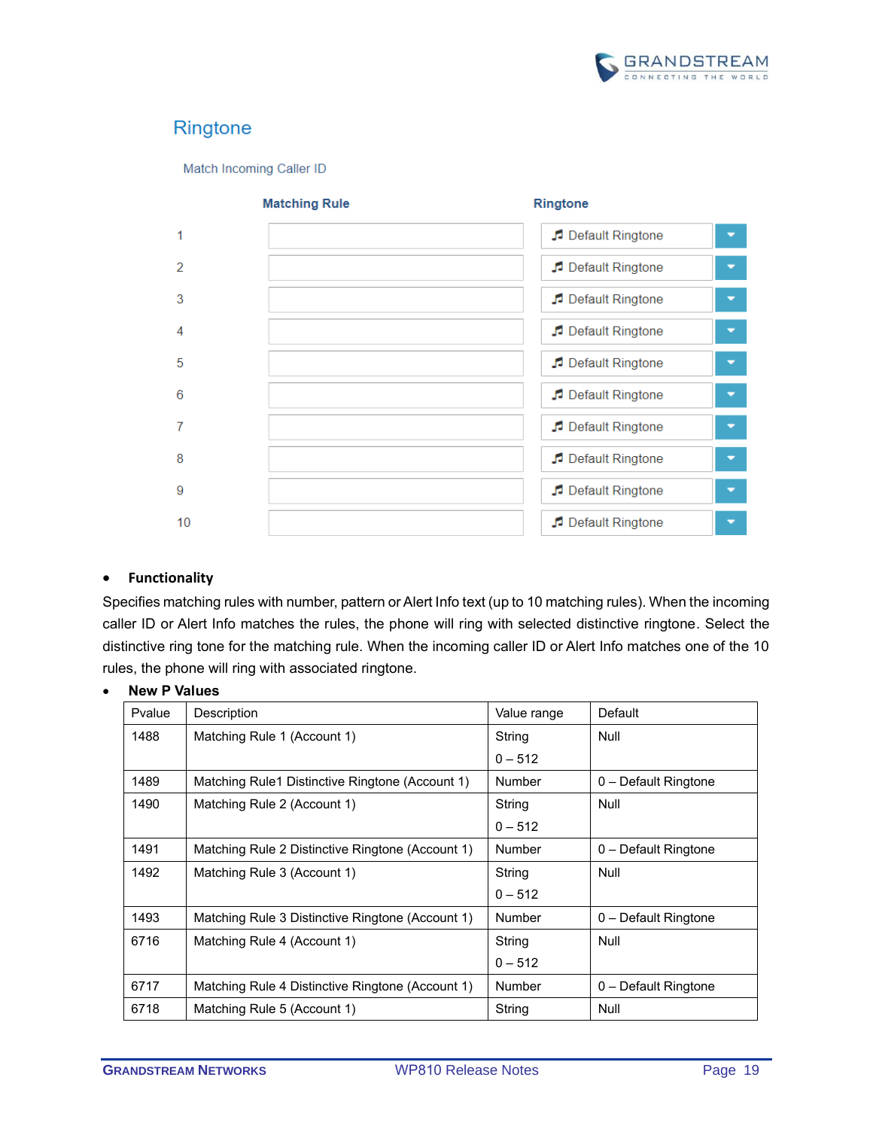

# Ringtone

Match Incoming Caller ID



#### • **Functionality**

Specifies matching rules with number, pattern or Alert Info text (up to 10 matching rules). When the incoming caller ID or Alert Info matches the rules, the phone will ring with selected distinctive ringtone. Select the distinctive ring tone for the matching rule. When the incoming caller ID or Alert Info matches one of the 10 rules, the phone will ring with associated ringtone.

| Pvalue | Description                                      | Value range | Default              |
|--------|--------------------------------------------------|-------------|----------------------|
| 1488   | Matching Rule 1 (Account 1)                      | String      | Null                 |
|        |                                                  | $0 - 512$   |                      |
| 1489   | Matching Rule1 Distinctive Ringtone (Account 1)  | Number      | 0 - Default Ringtone |
| 1490   | Matching Rule 2 (Account 1)                      | String      | Null                 |
|        |                                                  | $0 - 512$   |                      |
| 1491   | Matching Rule 2 Distinctive Ringtone (Account 1) | Number      | 0 - Default Ringtone |
| 1492   | Matching Rule 3 (Account 1)                      | String      | Null                 |
|        |                                                  | $0 - 512$   |                      |
| 1493   | Matching Rule 3 Distinctive Ringtone (Account 1) | Number      | 0 - Default Ringtone |
| 6716   | Matching Rule 4 (Account 1)                      | String      | Null                 |
|        |                                                  | $0 - 512$   |                      |
| 6717   | Matching Rule 4 Distinctive Ringtone (Account 1) | Number      | 0 - Default Ringtone |
| 6718   | Matching Rule 5 (Account 1)                      | String      | Null                 |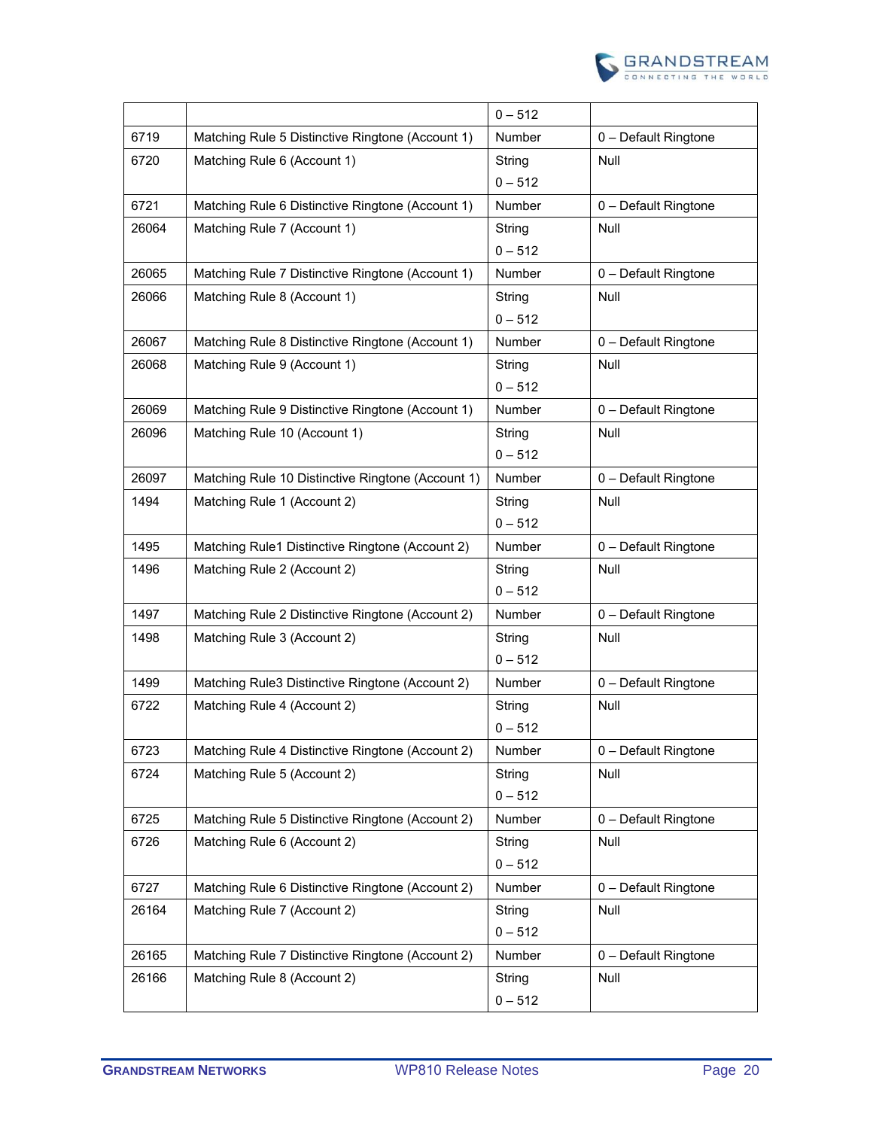

|       |                                                   | $0 - 512$     |                      |
|-------|---------------------------------------------------|---------------|----------------------|
| 6719  | Matching Rule 5 Distinctive Ringtone (Account 1)  | <b>Number</b> | 0 - Default Ringtone |
| 6720  | Matching Rule 6 (Account 1)                       | String        | <b>Null</b>          |
|       |                                                   | $0 - 512$     |                      |
| 6721  | Matching Rule 6 Distinctive Ringtone (Account 1)  | <b>Number</b> | 0 - Default Ringtone |
| 26064 | Matching Rule 7 (Account 1)                       | String        | Null                 |
|       |                                                   | $0 - 512$     |                      |
| 26065 | Matching Rule 7 Distinctive Ringtone (Account 1)  | <b>Number</b> | 0 - Default Ringtone |
| 26066 | Matching Rule 8 (Account 1)                       | String        | Null                 |
|       |                                                   | $0 - 512$     |                      |
| 26067 | Matching Rule 8 Distinctive Ringtone (Account 1)  | Number        | 0 - Default Ringtone |
| 26068 | Matching Rule 9 (Account 1)                       | String        | Null                 |
|       |                                                   | $0 - 512$     |                      |
| 26069 | Matching Rule 9 Distinctive Ringtone (Account 1)  | Number        | 0 - Default Ringtone |
| 26096 | Matching Rule 10 (Account 1)                      | String        | Null                 |
|       |                                                   | $0 - 512$     |                      |
| 26097 | Matching Rule 10 Distinctive Ringtone (Account 1) | Number        | 0 - Default Ringtone |
| 1494  | Matching Rule 1 (Account 2)                       | String        | Null                 |
|       |                                                   | $0 - 512$     |                      |
| 1495  | Matching Rule1 Distinctive Ringtone (Account 2)   | Number        | 0 - Default Ringtone |
| 1496  | Matching Rule 2 (Account 2)                       | String        | Null                 |
|       |                                                   | $0 - 512$     |                      |
| 1497  | Matching Rule 2 Distinctive Ringtone (Account 2)  | Number        | 0 - Default Ringtone |
| 1498  | Matching Rule 3 (Account 2)                       | String        | <b>Null</b>          |
|       |                                                   | $0 - 512$     |                      |
| 1499  | Matching Rule3 Distinctive Ringtone (Account 2)   | Number        | 0 - Default Ringtone |
| 6722  | Matching Rule 4 (Account 2)                       | String        | Null                 |
|       |                                                   | $0 - 512$     |                      |
| 6723  | Matching Rule 4 Distinctive Ringtone (Account 2)  | Number        | 0 - Default Ringtone |
| 6724  | Matching Rule 5 (Account 2)                       | String        | Null                 |
|       |                                                   | $0 - 512$     |                      |
| 6725  | Matching Rule 5 Distinctive Ringtone (Account 2)  | Number        | 0 - Default Ringtone |
| 6726  | Matching Rule 6 (Account 2)                       | String        | Null                 |
|       |                                                   | $0 - 512$     |                      |
| 6727  | Matching Rule 6 Distinctive Ringtone (Account 2)  | Number        | 0 - Default Ringtone |
| 26164 | Matching Rule 7 (Account 2)                       | String        | Null                 |
|       |                                                   | $0 - 512$     |                      |
| 26165 | Matching Rule 7 Distinctive Ringtone (Account 2)  | Number        | 0 - Default Ringtone |
| 26166 | Matching Rule 8 (Account 2)                       | String        | Null                 |
|       |                                                   | $0 - 512$     |                      |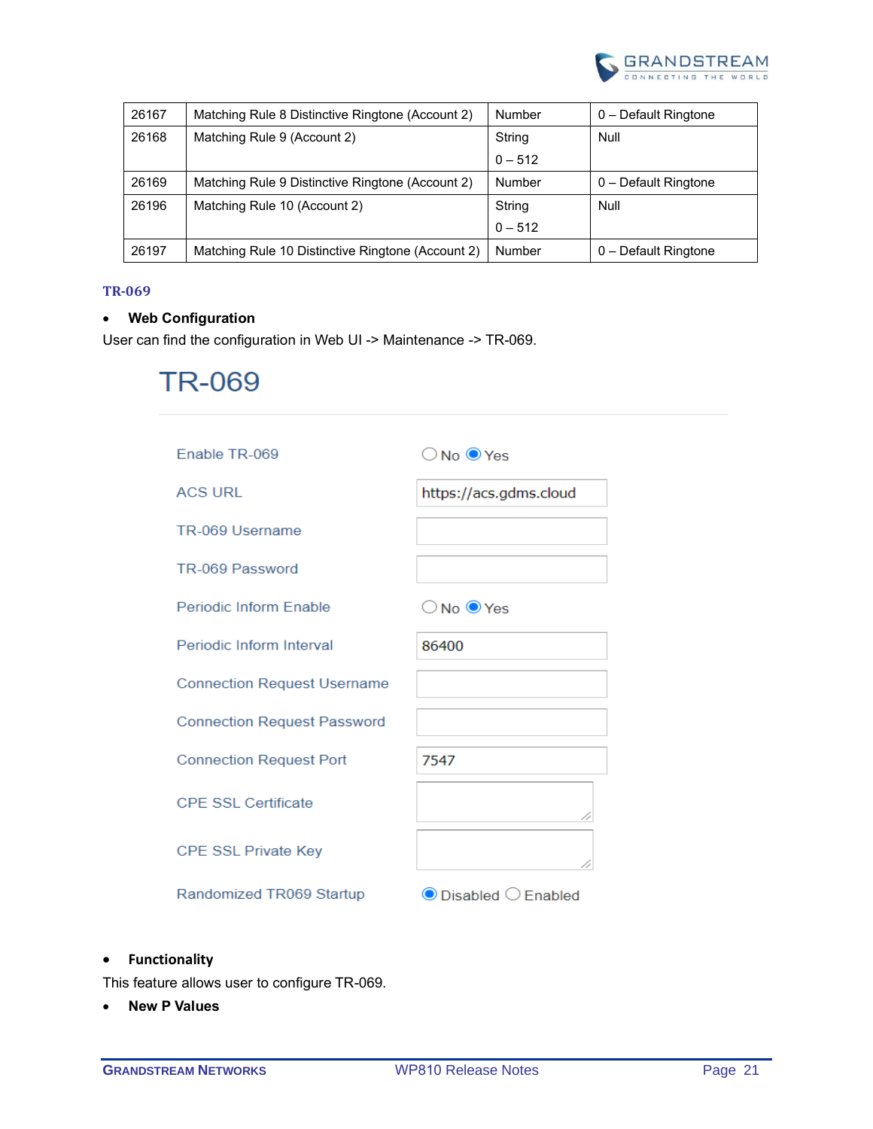

| 26167 | Matching Rule 8 Distinctive Ringtone (Account 2)  | <b>Number</b> | 0 - Default Ringtone |
|-------|---------------------------------------------------|---------------|----------------------|
| 26168 | Matching Rule 9 (Account 2)                       | String        | Null                 |
|       |                                                   | $0 - 512$     |                      |
| 26169 | Matching Rule 9 Distinctive Ringtone (Account 2)  | Number        | 0 - Default Ringtone |
| 26196 | Matching Rule 10 (Account 2)                      | String        | Null                 |
|       |                                                   | $0 - 512$     |                      |
| 26197 | Matching Rule 10 Distinctive Ringtone (Account 2) | Number        | 0 - Default Ringtone |

#### <span id="page-20-0"></span>**TR-069**

# • **Web Configuration**

User can find the configuration in Web UI -> Maintenance -> TR-069.

# **TR-069**

| Enable TR-069                      | $\bigcirc$ No $\bigcirc$ Yes       |
|------------------------------------|------------------------------------|
| <b>ACS URL</b>                     | https://acs.gdms.cloud             |
| TR-069 Username                    |                                    |
| TR-069 Password                    |                                    |
| Periodic Inform Enable             | $\bigcirc$ No $\bigcirc$ Yes       |
| Periodic Inform Interval           | 86400                              |
| <b>Connection Request Username</b> |                                    |
| <b>Connection Request Password</b> |                                    |
| <b>Connection Request Port</b>     | 7547                               |
| CPF SSL Certificate                | 11                                 |
| <b>CPE SSL Private Key</b>         |                                    |
| Randomized TR069 Startup           | $\bullet$ Disabled $\circ$ Enabled |

# • **Functionality**

This feature allows user to configure TR-069.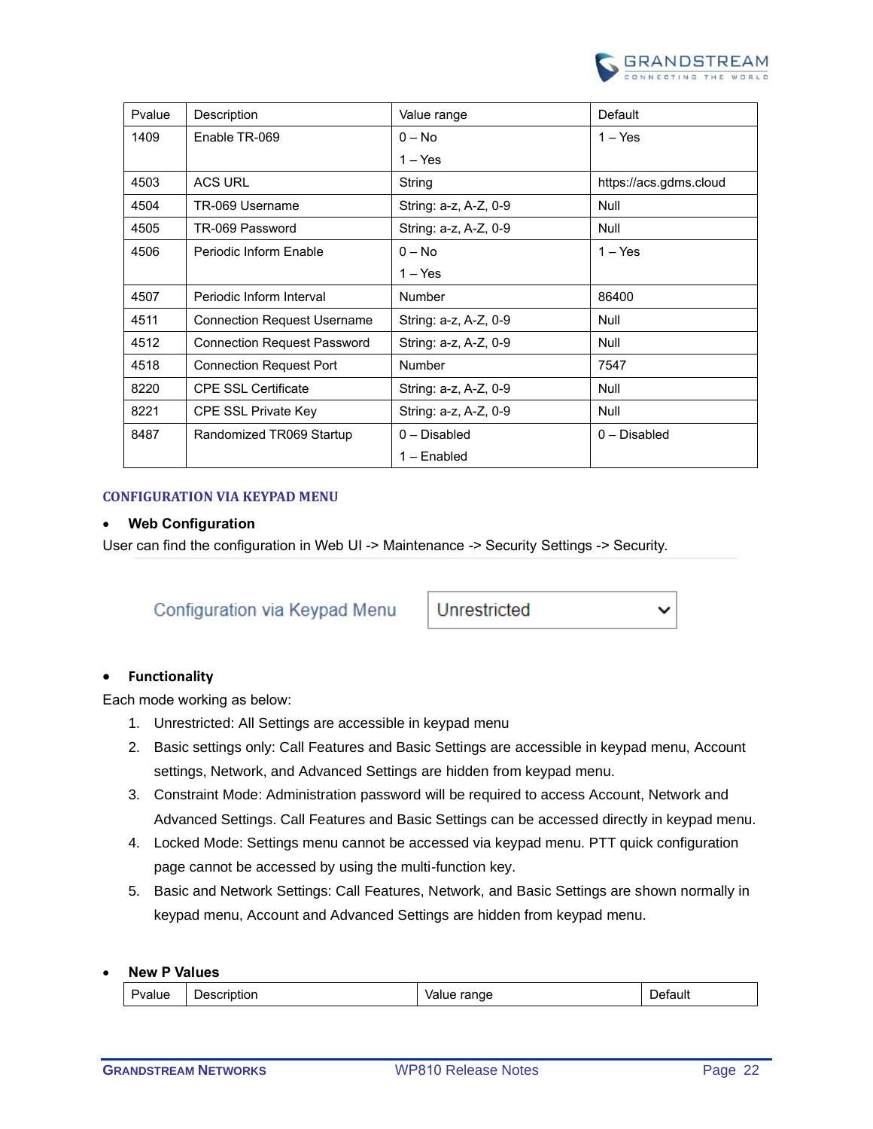

| Pvalue | Description                        | Value range           | Default                |
|--------|------------------------------------|-----------------------|------------------------|
| 1409   | Enable TR-069                      | $0 - No$              | $1 - Yes$              |
|        |                                    | $1 - Yes$             |                        |
| 4503   | <b>ACS URL</b>                     | String                | https://acs.gdms.cloud |
| 4504   | TR-069 Username                    | String: a-z, A-Z, 0-9 | Null                   |
| 4505   | TR-069 Password                    | String: a-z, A-Z, 0-9 | Null                   |
| 4506   | Periodic Inform Enable             | $0 - No$              | $1 - Yes$              |
|        |                                    | $1 - Yes$             |                        |
| 4507   | Periodic Inform Interval           | <b>Number</b>         | 86400                  |
| 4511   | <b>Connection Request Username</b> | String: a-z, A-Z, 0-9 | Null                   |
| 4512   | <b>Connection Request Password</b> | String: a-z, A-Z, 0-9 | Null                   |
| 4518   | <b>Connection Request Port</b>     | Number                | 7547                   |
| 8220   | <b>CPE SSL Certificate</b>         | String: a-z, A-Z, 0-9 | Null                   |
| 8221   | <b>CPE SSL Private Key</b>         | String: a-z, A-Z, 0-9 | Null                   |
| 8487   | Randomized TR069 Startup           | 0 - Disabled          | $0 - Disable$ d        |
|        |                                    | 1 – Enabled           |                        |

#### <span id="page-21-0"></span>**CONFIGURATION VIA KEYPAD MENU**

#### • **Web Configuration**

User can find the configuration in Web UI -> Maintenance -> Security Settings -> Security.

# Configuration via Keypad Menu

Unrestricted

#### • **Functionality**

Each mode working as below:

- 1. Unrestricted: All Settings are accessible in keypad menu
- 2. Basic settings only: Call Features and Basic Settings are accessible in keypad menu, Account settings, Network, and Advanced Settings are hidden from keypad menu.
- 3. Constraint Mode: Administration password will be required to access Account, Network and Advanced Settings. Call Features and Basic Settings can be accessed directly in keypad menu.
- 4. Locked Mode: Settings menu cannot be accessed via keypad menu. PTT quick configuration page cannot be accessed by using the multi-function key.
- 5. Basic and Network Settings: Call Features, Network, and Basic Settings are shown normally in keypad menu, Account and Advanced Settings are hidden from keypad menu.

| Pvalue | Description | range<br>Value | )etault |
|--------|-------------|----------------|---------|
|--------|-------------|----------------|---------|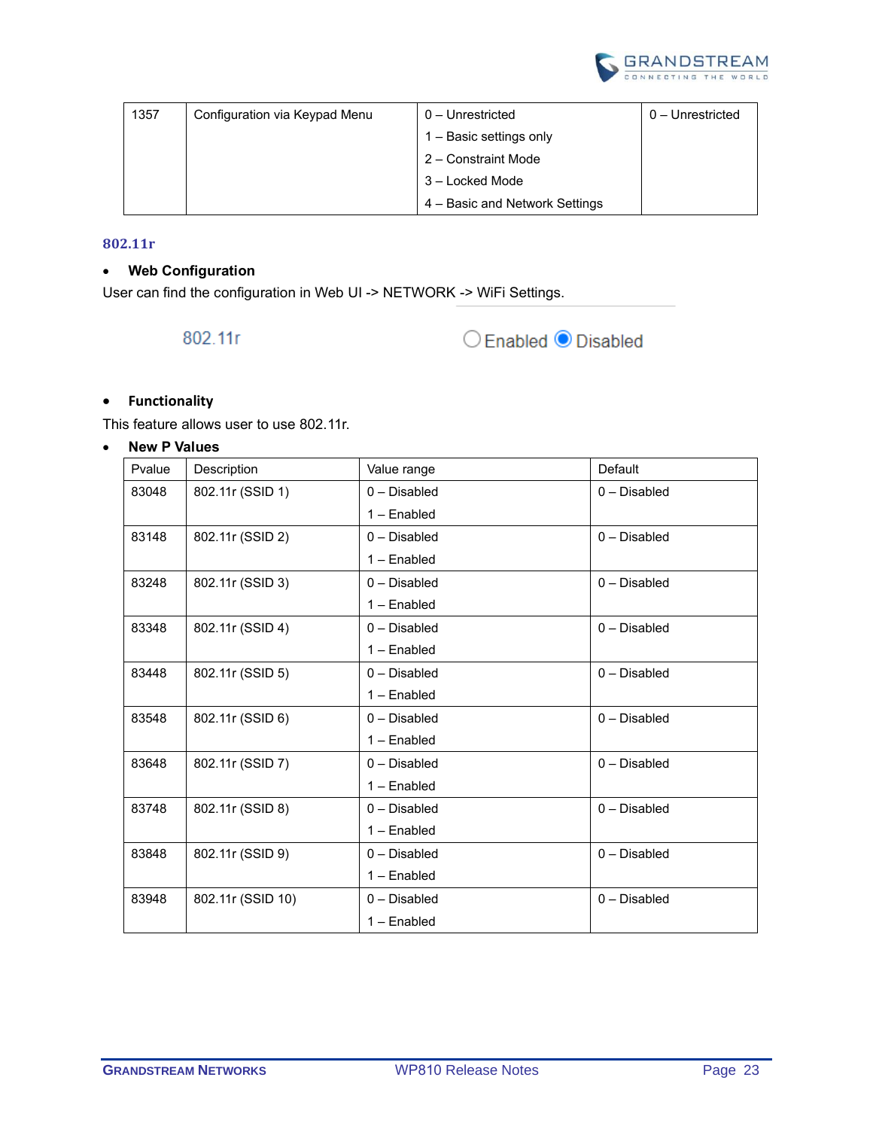

| 1357 | Configuration via Keypad Menu | 0 – Unrestricted               | 0 - Unrestricted |
|------|-------------------------------|--------------------------------|------------------|
|      |                               | 1 – Basic settings only        |                  |
|      |                               | 2 – Constraint Mode            |                  |
|      |                               | 3 – Locked Mode                |                  |
|      |                               | 4 – Basic and Network Settings |                  |

#### <span id="page-22-0"></span>**802.11r**

# • **Web Configuration**

User can find the configuration in Web UI -> NETWORK -> WiFi Settings.

802.11r



# • **Functionality**

This feature allows user to use 802.11r.

| Pvalue | Description       | Value range     | Default         |
|--------|-------------------|-----------------|-----------------|
| 83048  | 802.11r (SSID 1)  | $0 - Disabled$  | $0 - Disabled$  |
|        |                   | $1 -$ Enabled   |                 |
| 83148  | 802.11r (SSID 2)  | $0$ – Disabled  | $0$ – Disabled  |
|        |                   | $1 -$ Enabled   |                 |
| 83248  | 802.11r (SSID 3)  | $0 - Disabled$  | $0 - Disabled$  |
|        |                   | $1 -$ Enabled   |                 |
| 83348  | 802.11r (SSID 4)  | $0 - Disable$   | $0 - Disabled$  |
|        |                   | $1 -$ Enabled   |                 |
| 83448  | 802.11r (SSID 5)  | $0 - Disabled$  | $0 - Disable$   |
|        |                   | $1 -$ Enabled   |                 |
| 83548  | 802.11r (SSID 6)  | $0 - Disable$ d | $0 - Disable$ d |
|        |                   | $1 -$ Enabled   |                 |
| 83648  | 802.11r (SSID 7)  | $0 - Disabled$  | $0 - Disabled$  |
|        |                   | 1 - Enabled     |                 |
| 83748  | 802.11r (SSID 8)  | $0 - Disable$   | $0$ – Disabled  |
|        |                   | $1 -$ Enabled   |                 |
| 83848  | 802.11r (SSID 9)  | $0 - Disabled$  | $0 - Disabled$  |
|        |                   | $1 -$ Enabled   |                 |
| 83948  | 802.11r (SSID 10) | $0$ – Disabled  | $0 - Disabled$  |
|        |                   | 1 - Enabled     |                 |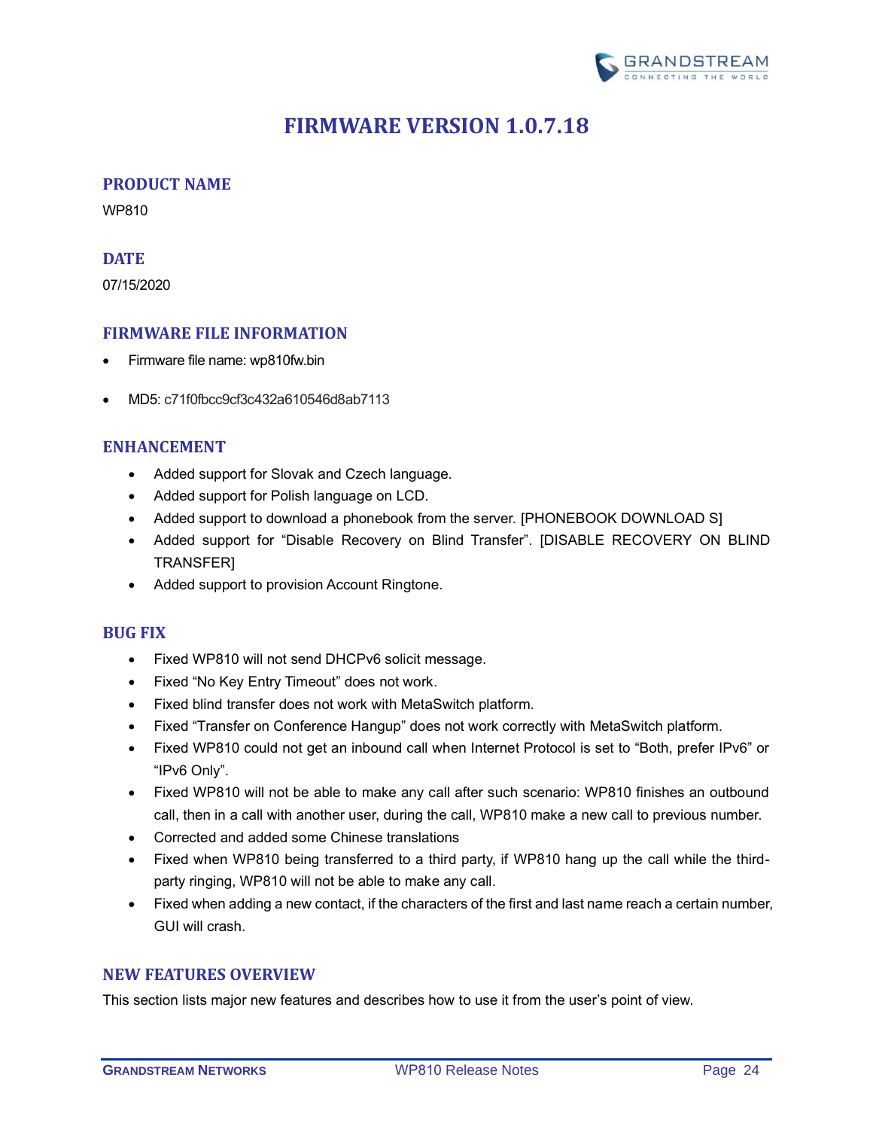

# **FIRMWARE VERSION 1.0.7.18**

# <span id="page-23-1"></span><span id="page-23-0"></span>**PRODUCT NAME**

WP810

# <span id="page-23-2"></span>**DATE**

07/15/2020

# <span id="page-23-3"></span>**FIRMWARE FILE INFORMATION**

- Firmware file name: wp810fw.bin
- MD5: c71f0fbcc9cf3c432a610546d8ab7113

# <span id="page-23-4"></span>**ENHANCEMENT**

- Added support for Slovak and Czech language.
- Added support for Polish language on LCD.
- Added support to download a phonebook from the server. [\[PHONEBOOK](#page-24-0) DOWNLOAD S]
- Added support for "Disable Recovery on Blind Transfer". [\[DISABLE RECOVERY](#page-24-1) ON BLIND [TRANSFER\]](#page-24-1)
- Added support to provision Account Ringtone.

#### <span id="page-23-5"></span>**BUG FIX**

- Fixed WP810 will not send DHCPv6 solicit message.
- Fixed "No Key Entry Timeout" does not work.
- Fixed blind transfer does not work with MetaSwitch platform.
- Fixed "Transfer on Conference Hangup" does not work correctly with MetaSwitch platform.
- Fixed WP810 could not get an inbound call when Internet Protocol is set to "Both, prefer IPv6" or "IPv6 Only".
- Fixed WP810 will not be able to make any call after such scenario: WP810 finishes an outbound call, then in a call with another user, during the call, WP810 make a new call to previous number.
- Corrected and added some Chinese translations
- Fixed when WP810 being transferred to a third party, if WP810 hang up the call while the thirdparty ringing, WP810 will not be able to make any call.
- Fixed when adding a new contact, if the characters of the first and last name reach a certain number, GUI will crash.

#### <span id="page-23-6"></span>**NEW FEATURES OVERVIEW**

This section lists major new features and describes how to use it from the user's point of view.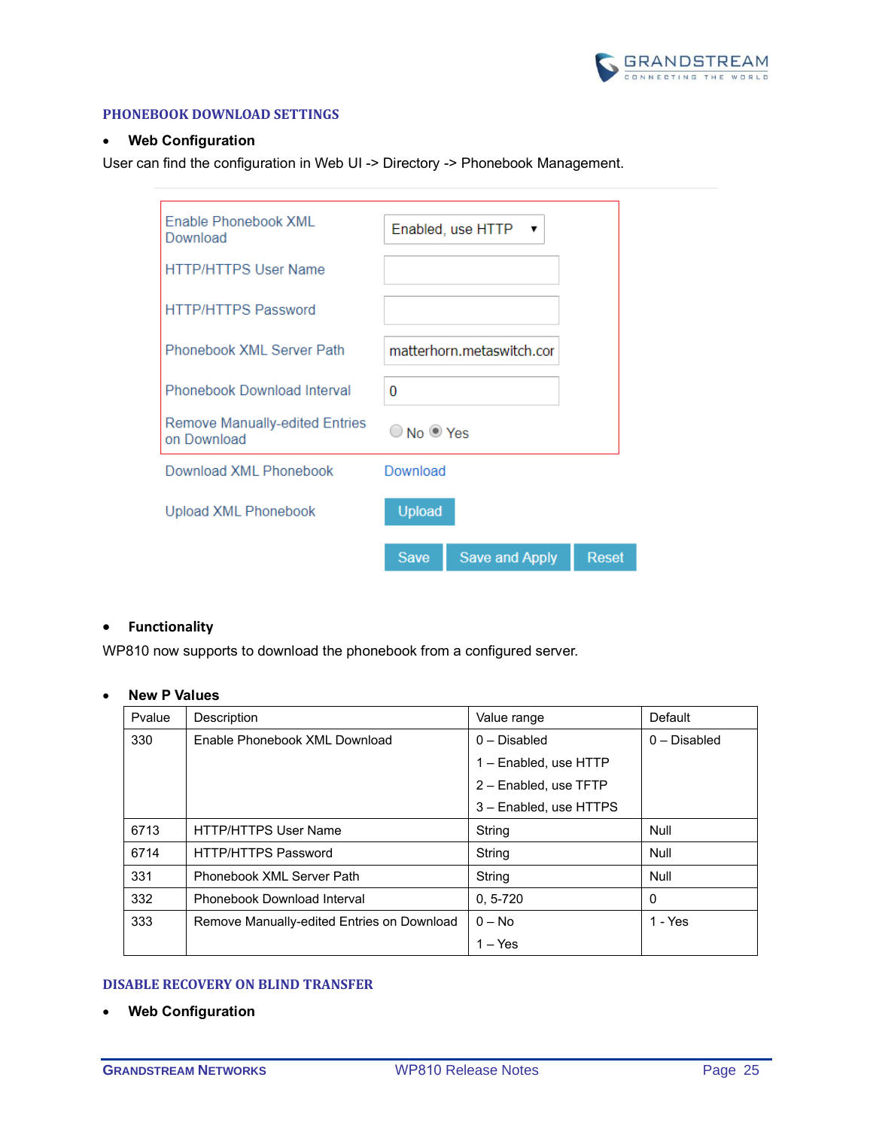

#### <span id="page-24-0"></span>**PHONEBOOK DOWNLOAD SETTINGS**

#### • **Web Configuration**

User can find the configuration in Web UI -> Directory -> Phonebook Management.

| Enable Phonebook XML<br>Download                     |                              | Enabled, use HTTP         |       |
|------------------------------------------------------|------------------------------|---------------------------|-------|
| <b>HTTP/HTTPS User Name</b>                          |                              |                           |       |
| <b>HTTP/HTTPS Password</b>                           |                              |                           |       |
| Phonebook XML Server Path                            |                              | matterhorn.metaswitch.cor |       |
| Phonebook Download Interval                          | 0                            |                           |       |
| <b>Remove Manually-edited Entries</b><br>on Download | $\bigcirc$ No $\bigcirc$ Yes |                           |       |
| Download XML Phonebook                               | Download                     |                           |       |
| <b>Upload XML Phonebook</b>                          | Upload                       |                           |       |
|                                                      | <b>Save</b>                  | Save and Apply            | Reset |

#### • **Functionality**

WP810 now supports to download the phonebook from a configured server.

# • **New P Values**

| Pvalue | Description                                | Value range            | Default        |
|--------|--------------------------------------------|------------------------|----------------|
| 330    | Enable Phonebook XML Download              | $0$ – Disabled         | $0$ – Disabled |
|        |                                            | 1 - Enabled, use HTTP  |                |
|        |                                            | 2 - Enabled, use TFTP  |                |
|        |                                            | 3 - Enabled, use HTTPS |                |
| 6713   | <b>HTTP/HTTPS User Name</b>                | String                 | Null           |
| 6714   | <b>HTTP/HTTPS Password</b>                 | String                 | Null           |
| 331    | Phonebook XML Server Path                  | String                 | Null           |
| 332    | Phonebook Download Interval                | $0, 5 - 720$           | $\Omega$       |
| 333    | Remove Manually-edited Entries on Download | $0 - No$               | $1 - Yes$      |
|        |                                            | $1 - Yes$              |                |

#### <span id="page-24-1"></span>**DISABLE RECOVERY ON BLIND TRANSFER**

• **Web Configuration**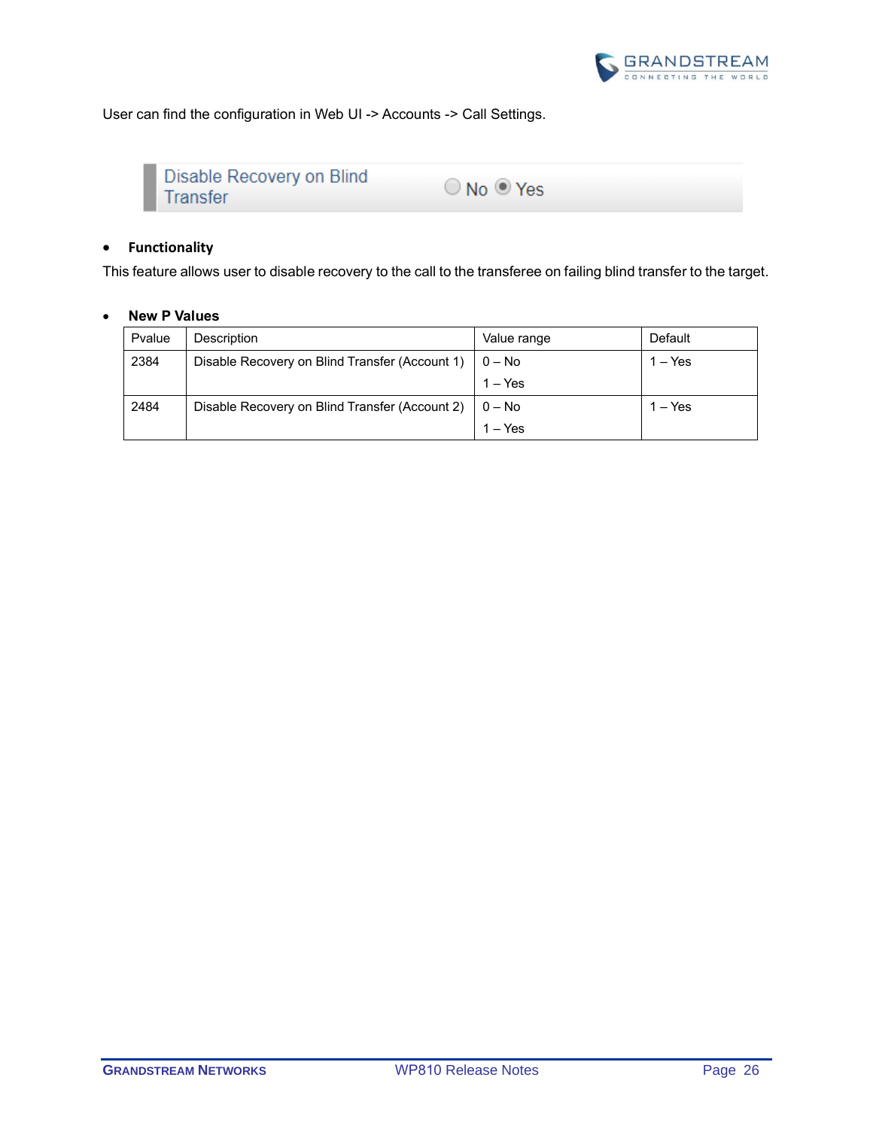

User can find the configuration in Web UI -> Accounts -> Call Settings.

| Disable Recovery on Blind<br>l Transfer | $\bigcirc$ No $\bigcirc$ Yes |  |
|-----------------------------------------|------------------------------|--|
|-----------------------------------------|------------------------------|--|

# • **Functionality**

This feature allows user to disable recovery to the call to the transferee on failing blind transfer to the target.

| Pvalue | Description                                    | Value range | Default   |
|--------|------------------------------------------------|-------------|-----------|
| 2384   | Disable Recovery on Blind Transfer (Account 1) | $0 - No$    | $1 - Yes$ |
|        |                                                | $1 - Yes$   |           |
| 2484   | Disable Recovery on Blind Transfer (Account 2) | $0 - No$    | $1 - Yes$ |
|        |                                                | $1 - Yes$   |           |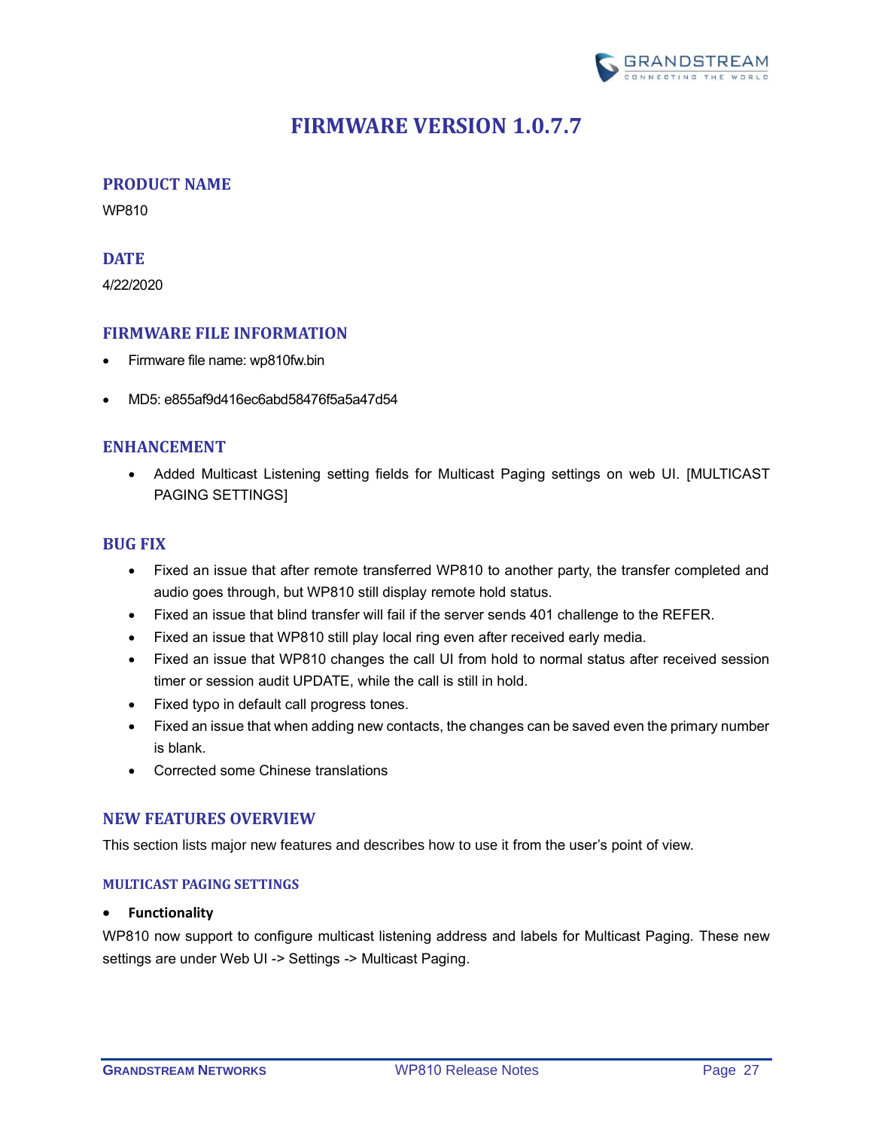

# **FIRMWARE VERSION 1.0.7.7**

#### <span id="page-26-1"></span><span id="page-26-0"></span>**PRODUCT NAME**

WP810

#### <span id="page-26-2"></span>**DATE**

4/22/2020

# <span id="page-26-3"></span>**FIRMWARE FILE INFORMATION**

- Firmware file name: wp810fw.bin
- MD5: e855af9d416ec6abd58476f5a5a47d54

# <span id="page-26-4"></span>**ENHANCEMENT**

• Added Multicast Listening setting fields for Multicast Paging settings on web UI. [\[MULTICAST](#page-26-7)  [PAGING SETTINGS\]](#page-26-7)

# <span id="page-26-5"></span>**BUG FIX**

- Fixed an issue that after remote transferred WP810 to another party, the transfer completed and audio goes through, but WP810 still display remote hold status.
- Fixed an issue that blind transfer will fail if the server sends 401 challenge to the REFER.
- Fixed an issue that WP810 still play local ring even after received early media.
- Fixed an issue that WP810 changes the call UI from hold to normal status after received session timer or session audit UPDATE, while the call is still in hold.
- Fixed typo in default call progress tones.
- Fixed an issue that when adding new contacts, the changes can be saved even the primary number is blank.
- Corrected some Chinese translations

#### <span id="page-26-6"></span>**NEW FEATURES OVERVIEW**

<span id="page-26-7"></span>This section lists major new features and describes how to use it from the user's point of view.

#### **MULTICAST PAGING SETTINGS**

#### • **Functionality**

WP810 now support to configure multicast listening address and labels for Multicast Paging. These new settings are under Web UI -> Settings -> Multicast Paging.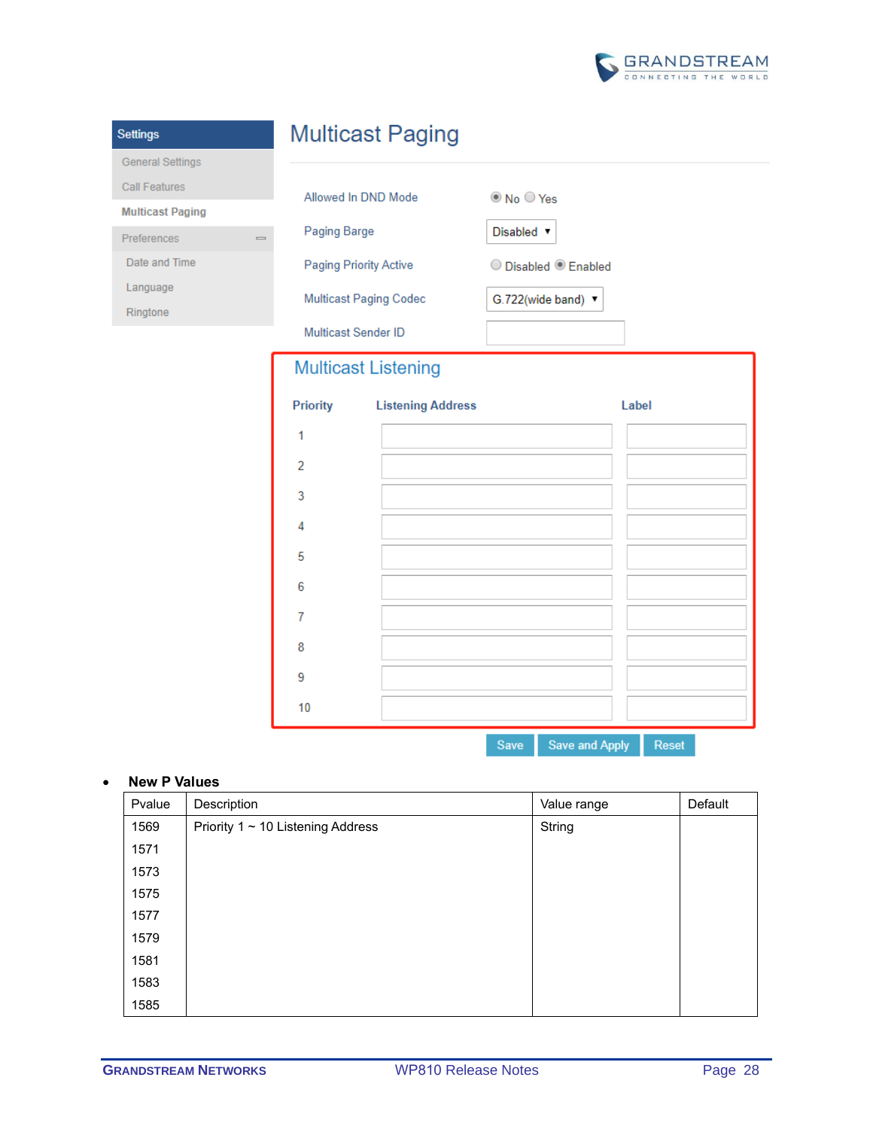

| <b>Settings</b>                        |                            | <b>Multicast Paging</b>  |                                 |       |
|----------------------------------------|----------------------------|--------------------------|---------------------------------|-------|
| <b>General Settings</b>                |                            |                          |                                 |       |
| <b>Call Features</b>                   | Allowed In DND Mode        |                          | © No ○ Yes                      |       |
| <b>Multicast Paging</b>                |                            |                          |                                 |       |
| Preferences<br>$\qquad \qquad =\qquad$ | Paging Barge               |                          | Disabled v                      |       |
| Date and Time                          | Paging Priority Active     |                          | O Disabled <sup>O</sup> Enabled |       |
| Language                               | Multicast Paging Codec     |                          | G.722(wide band) ▼              |       |
| Ringtone                               |                            |                          |                                 |       |
|                                        | Multicast Sender ID        |                          |                                 |       |
|                                        | <b>Multicast Listening</b> |                          |                                 |       |
|                                        | <b>Priority</b>            | <b>Listening Address</b> |                                 | Label |
|                                        | 1                          |                          |                                 |       |
|                                        | $\overline{2}$             |                          |                                 |       |
|                                        | 3                          |                          |                                 |       |
|                                        |                            |                          |                                 |       |
|                                        | 4                          |                          |                                 |       |
|                                        | 5                          |                          |                                 |       |
|                                        | 6                          |                          |                                 |       |
|                                        | 7                          |                          |                                 |       |
|                                        | 8                          |                          |                                 |       |

Save Save and Apply Reset

# • **New P Values**

 $10$ 

| Pvalue | Description                            | Value range | Default |
|--------|----------------------------------------|-------------|---------|
| 1569   | Priority $1 \sim 10$ Listening Address | String      |         |
| 1571   |                                        |             |         |
| 1573   |                                        |             |         |
| 1575   |                                        |             |         |
| 1577   |                                        |             |         |
| 1579   |                                        |             |         |
| 1581   |                                        |             |         |
| 1583   |                                        |             |         |
| 1585   |                                        |             |         |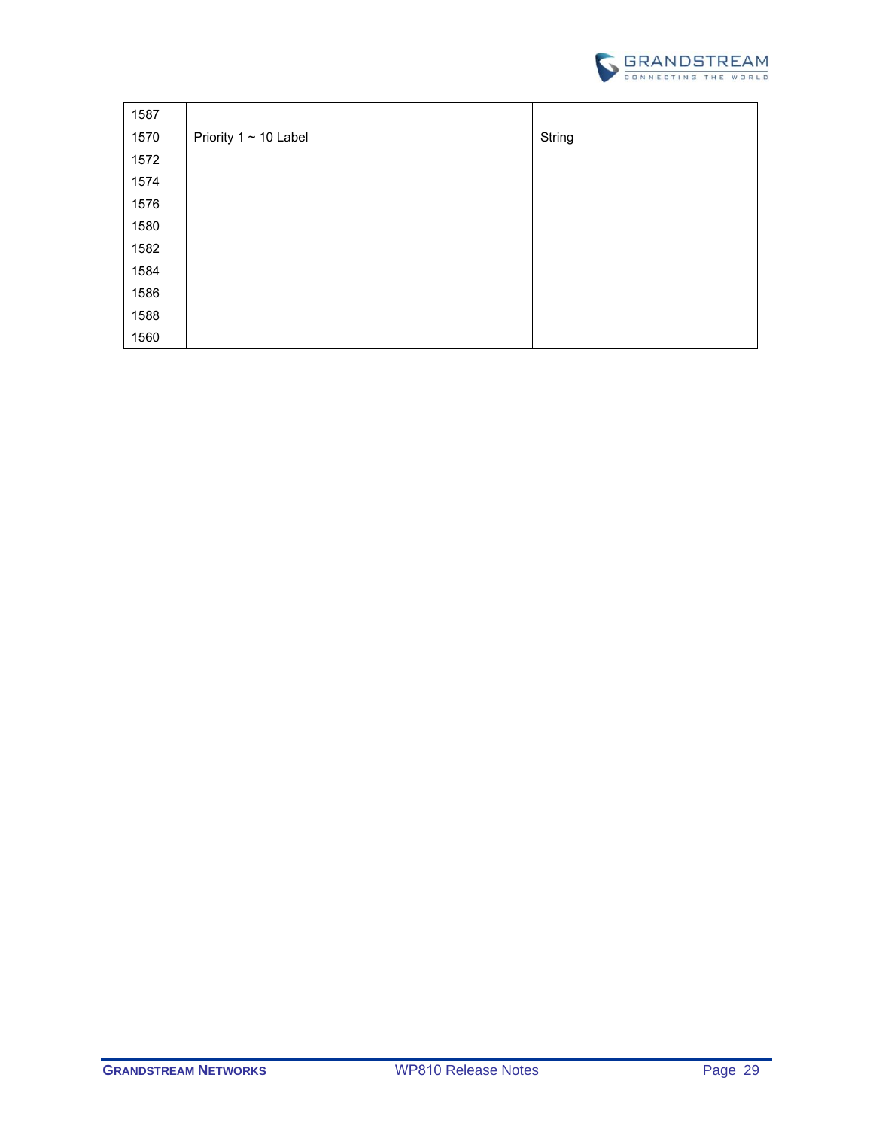

| 1587 |                            |        |  |
|------|----------------------------|--------|--|
| 1570 | Priority $1 \sim 10$ Label | String |  |
| 1572 |                            |        |  |
| 1574 |                            |        |  |
| 1576 |                            |        |  |
| 1580 |                            |        |  |
| 1582 |                            |        |  |
| 1584 |                            |        |  |
| 1586 |                            |        |  |
| 1588 |                            |        |  |
| 1560 |                            |        |  |